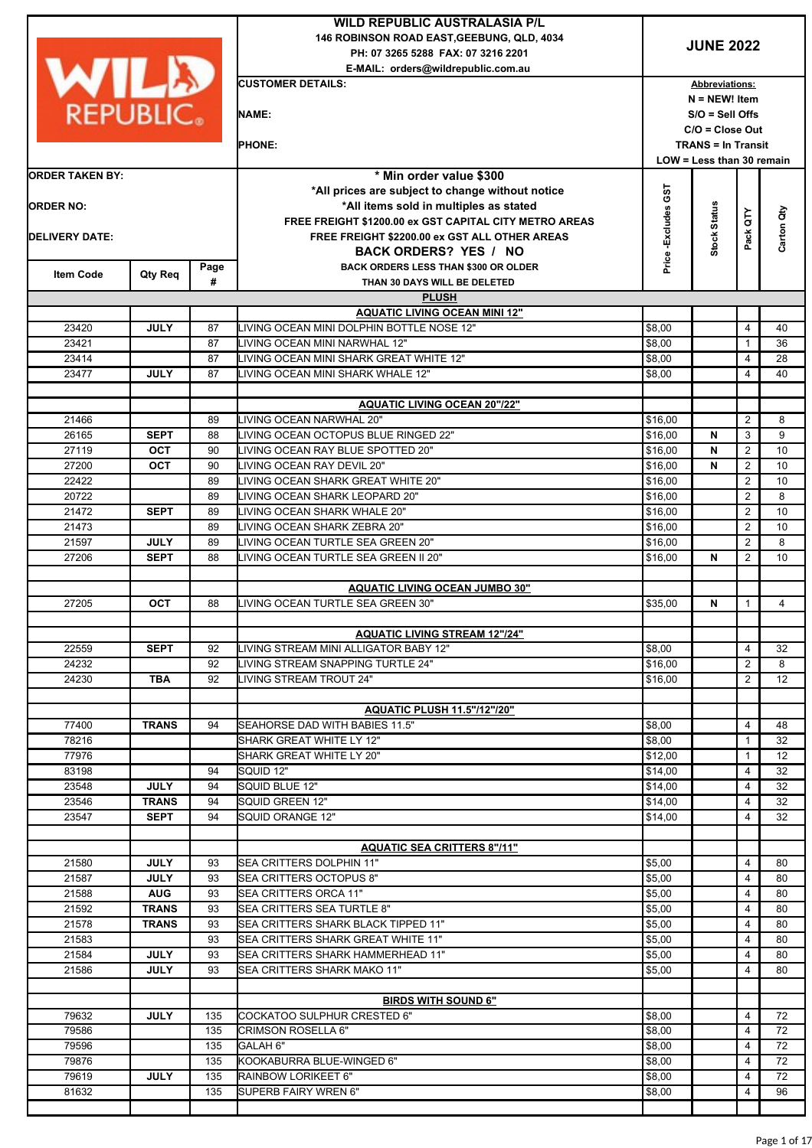|                        |                  |      | <b>WILD REPUBLIC AUSTRALASIA P/L</b>                   |                    |                             |                |                   |
|------------------------|------------------|------|--------------------------------------------------------|--------------------|-----------------------------|----------------|-------------------|
|                        |                  |      | 146 ROBINSON ROAD EAST, GEEBUNG, QLD, 4034             |                    | <b>JUNE 2022</b>            |                |                   |
|                        |                  |      | PH: 07 3265 5288 FAX: 07 3216 2201                     |                    |                             |                |                   |
| WILD                   |                  |      | E-MAIL: orders@wildrepublic.com.au                     |                    |                             |                |                   |
|                        |                  |      | <b>CUSTOMER DETAILS:</b>                               |                    | Abbreviations:              |                |                   |
|                        |                  |      |                                                        |                    | $N = NEW!$ Item             |                |                   |
|                        | <b>REPUBLIC.</b> |      | NAME:                                                  |                    | $S/O =$ Sell Offs           |                |                   |
|                        |                  |      |                                                        |                    | $C/O = Close Out$           |                |                   |
|                        |                  |      | <b>PHONE:</b>                                          |                    | <b>TRANS = In Transit</b>   |                |                   |
|                        |                  |      |                                                        |                    | $LOW = Less than 30 remain$ |                |                   |
| <b>ORDER TAKEN BY:</b> |                  |      | * Min order value \$300                                |                    |                             |                |                   |
|                        |                  |      | *All prices are subject to change without notice       |                    |                             |                |                   |
| <b>ORDER NO:</b>       |                  |      | *All items sold in multiples as stated                 |                    |                             |                |                   |
|                        |                  |      | FREE FREIGHT \$1200.00 ex GST CAPITAL CITY METRO AREAS |                    |                             |                |                   |
| <b>DELIVERY DATE:</b>  |                  |      | FREE FREIGHT \$2200.00 ex GST ALL OTHER AREAS          | Price-Excludes GST | Stock Status                | Pack QTY       | Carton Qty        |
|                        |                  |      | <b>BACK ORDERS? YES / NO</b>                           |                    |                             |                |                   |
|                        |                  |      | <b>BACK ORDERS LESS THAN \$300 OR OLDER</b>            |                    |                             |                |                   |
| <b>Item Code</b>       | <b>Qty Req</b>   | Page |                                                        |                    |                             |                |                   |
|                        |                  | #    | THAN 30 DAYS WILL BE DELETED                           |                    |                             |                |                   |
|                        |                  |      | <b>PLUSH</b>                                           |                    |                             |                |                   |
|                        |                  |      | <b>AQUATIC LIVING OCEAN MINI 12"</b>                   |                    |                             |                |                   |
| 23420                  | <b>JULY</b>      | 87   | LIVING OCEAN MINI DOLPHIN BOTTLE NOSE 12"              | \$8,00             |                             | 4              | 40                |
| 23421                  |                  | 87   | LIVING OCEAN MINI NARWHAL 12"                          | \$8,00             |                             | $\mathbf{1}$   | 36                |
| 23414                  |                  | 87   | LIVING OCEAN MINI SHARK GREAT WHITE 12"                | \$8,00             |                             | 4              | 28                |
| 23477                  | <b>JULY</b>      | 87   | LIVING OCEAN MINI SHARK WHALE 12"                      | \$8,00             |                             | 4              | 40                |
|                        |                  |      |                                                        |                    |                             |                |                   |
|                        |                  |      | <b>AQUATIC LIVING OCEAN 20"/22"</b>                    |                    |                             |                |                   |
| 21466                  |                  | 89   | LIVING OCEAN NARWHAL 20"                               | \$16,00            |                             | 2              | 8                 |
| 26165                  | <b>SEPT</b>      | 88   | LIVING OCEAN OCTOPUS BLUE RINGED 22"                   | \$16,00            | N                           | 3              | 9                 |
| 27119                  | OCT              | 90   | LIVING OCEAN RAY BLUE SPOTTED 20"                      | \$16,00            | N                           | $\overline{2}$ | 10                |
| 27200                  | OCT              | 90   | LIVING OCEAN RAY DEVIL 20"                             | \$16,00            | N                           | $\overline{2}$ | 10                |
| 22422                  |                  | 89   | LIVING OCEAN SHARK GREAT WHITE 20"                     | \$16,00            |                             | 2              | 10                |
| 20722                  |                  | 89   | LIVING OCEAN SHARK LEOPARD 20"                         | \$16,00            |                             | $\overline{2}$ | 8                 |
| 21472                  | <b>SEPT</b>      | 89   | LIVING OCEAN SHARK WHALE 20"                           | \$16,00            |                             | 2              | 10                |
| 21473                  |                  | 89   | LIVING OCEAN SHARK ZEBRA 20"                           | \$16,00            |                             | $\overline{2}$ | 10                |
| 21597                  | <b>JULY</b>      | 89   | LIVING OCEAN TURTLE SEA GREEN 20"                      | \$16.00            |                             | 2              | 8                 |
| 27206                  | <b>SEPT</b>      | 88   | LIVING OCEAN TURTLE SEA GREEN II 20"                   | \$16,00            | N                           | $\overline{2}$ | 10                |
|                        |                  |      |                                                        |                    |                             |                |                   |
|                        |                  |      | <b>AQUATIC LIVING OCEAN JUMBO 30"</b>                  |                    |                             |                |                   |
| 27205                  | OCT              | 88   | IVING OCEAN TURTLE SEA GREEN 30"                       | \$35,00            | N                           | $\mathbf{1}$   | 4                 |
|                        |                  |      |                                                        |                    |                             |                |                   |
|                        |                  |      | <b>AQUATIC LIVING STREAM 12"/24"</b>                   |                    |                             |                |                   |
| 22559                  | <b>SEPT</b>      | 92   | LIVING STREAM MINI ALLIGATOR BABY 12"                  | \$8,00             |                             | 4              | 32                |
|                        |                  | 92   |                                                        |                    |                             |                | 8                 |
| 24232                  |                  |      | LIVING STREAM SNAPPING TURTLE 24"                      | \$16,00            |                             | 2              |                   |
| 24230                  | <b>TBA</b>       | 92   | LIVING STREAM TROUT 24"                                | \$16,00            |                             | 2              | $12 \overline{ }$ |
|                        |                  |      |                                                        |                    |                             |                |                   |
|                        |                  |      | <b>AQUATIC PLUSH 11.5"/12"/20"</b>                     |                    |                             |                |                   |
| 77400                  | <b>TRANS</b>     | 94   | SEAHORSE DAD WITH BABIES 11.5"                         | \$8,00             |                             | 4              | 48                |
| 78216                  |                  |      | SHARK GREAT WHITE LY 12"                               | \$8,00             |                             | $\mathbf{1}$   | 32                |
| 77976                  |                  |      | SHARK GREAT WHITE LY 20"                               | \$12,00            |                             | $\mathbf{1}$   | 12                |
| 83198                  |                  | 94   | SQUID 12"                                              | \$14,00            |                             | 4              | 32                |
| 23548                  | <b>JULY</b>      | 94   | SQUID BLUE 12"                                         | \$14,00            |                             | 4              | 32                |
| 23546                  | <b>TRANS</b>     | 94   | SQUID GREEN 12"                                        | \$14,00            |                             | 4              | 32                |
| 23547                  | <b>SEPT</b>      | 94   | SQUID ORANGE 12"                                       | \$14,00            |                             | 4              | 32                |
|                        |                  |      |                                                        |                    |                             |                |                   |
|                        |                  |      | <b>AQUATIC SEA CRITTERS 8"/11"</b>                     |                    |                             |                |                   |
| 21580                  | <b>JULY</b>      | 93   | SEA CRITTERS DOLPHIN 11"                               | \$5,00             |                             | 4              | 80                |
| 21587                  | <b>JULY</b>      | 93   | SEA CRITTERS OCTOPUS 8"                                | \$5,00             |                             | 4              | 80                |
| 21588                  | <b>AUG</b>       | 93   | SEA CRITTERS ORCA 11"                                  | \$5,00             |                             | 4              | 80                |
| 21592                  | <b>TRANS</b>     | 93   | SEA CRITTERS SEA TURTLE 8"                             | \$5,00             |                             | 4              | 80                |
| 21578                  | <b>TRANS</b>     | 93   | SEA CRITTERS SHARK BLACK TIPPED 11"                    | \$5,00             |                             | 4              | 80                |
| 21583                  |                  | 93   | SEA CRITTERS SHARK GREAT WHITE 11"                     | \$5,00             |                             | 4              | 80                |
| 21584                  | <b>JULY</b>      | 93   | SEA CRITTERS SHARK HAMMERHEAD 11"                      | \$5,00             |                             | 4              | 80                |
| 21586                  | <b>JULY</b>      | 93   | SEA CRITTERS SHARK MAKO 11"                            | \$5,00             |                             | 4              | 80                |
|                        |                  |      |                                                        |                    |                             |                |                   |
|                        |                  |      | <b>BIRDS WITH SOUND 6"</b>                             |                    |                             |                |                   |
| 79632                  | <b>JULY</b>      | 135  | COCKATOO SULPHUR CRESTED 6"                            | \$8,00             |                             | 4              | 72                |
| 79586                  |                  | 135  | CRIMSON ROSELLA 6"                                     | \$8,00             |                             | 4              | 72                |
| 79596                  |                  | 135  | GALAH <sub>6</sub> "                                   | \$8,00             |                             | 4              | 72                |
| 79876                  |                  | 135  | KOOKABURRA BLUE-WINGED 6"                              | \$8,00             |                             | 4              | 72                |
| 79619                  | <b>JULY</b>      | 135  | <b>RAINBOW LORIKEET 6"</b>                             | \$8,00             |                             | 4              | 72                |
| 81632                  |                  | 135  | SUPERB FAIRY WREN 6"                                   | \$8,00             |                             | 4              | 96                |
|                        |                  |      |                                                        |                    |                             |                |                   |
|                        |                  |      |                                                        |                    |                             |                |                   |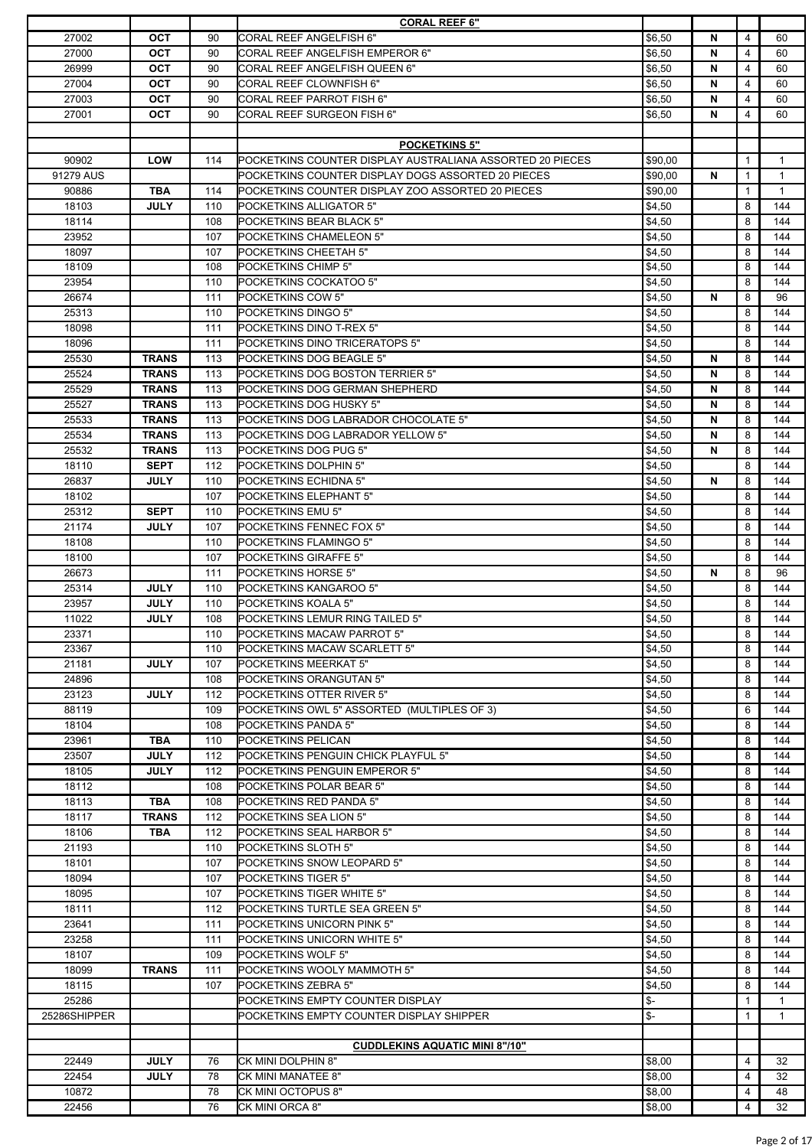|              |              |     | <b>CORAL REEF 6"</b>                                      |                     |   |              |              |
|--------------|--------------|-----|-----------------------------------------------------------|---------------------|---|--------------|--------------|
| 27002        | <b>OCT</b>   | 90  | CORAL REEF ANGELFISH 6"                                   | \$6,50              | N | 4            | 60           |
| 27000        | <b>OCT</b>   | 90  | CORAL REEF ANGELFISH EMPEROR 6"                           | \$6,50              | N | 4            | 60           |
| 26999        | OCT          | 90  | CORAL REEF ANGELFISH QUEEN 6"                             | \$6,50              | N | 4            | 60           |
|              |              |     |                                                           |                     |   |              |              |
| 27004        | <b>OCT</b>   | 90  | <b>CORAL REEF CLOWNFISH 6"</b>                            | \$6,50              | N | 4            | 60           |
| 27003        | <b>OCT</b>   | 90  | CORAL REEF PARROT FISH 6"                                 | \$6,50              | N | 4            | 60           |
| 27001        | <b>OCT</b>   | 90  | <b>CORAL REEF SURGEON FISH 6"</b>                         | \$6,50              | N | 4            | 60           |
|              |              |     |                                                           |                     |   |              |              |
|              |              |     | <b>POCKETKINS 5"</b>                                      |                     |   |              |              |
| 90902        | LOW          | 114 | POCKETKINS COUNTER DISPLAY AUSTRALIANA ASSORTED 20 PIECES | \$90,00             |   | $\mathbf{1}$ | $\mathbf{1}$ |
| 91279 AUS    |              |     | POCKETKINS COUNTER DISPLAY DOGS ASSORTED 20 PIECES        | \$90,00             | N | 1            | $\mathbf{1}$ |
|              |              |     |                                                           |                     |   |              |              |
| 90886        | <b>TBA</b>   | 114 | POCKETKINS COUNTER DISPLAY ZOO ASSORTED 20 PIECES         | \$90,00             |   | $\mathbf{1}$ | $\mathbf{1}$ |
| 18103        | <b>JULY</b>  | 110 | POCKETKINS ALLIGATOR 5"                                   | \$4,50              |   | 8            | 144          |
| 18114        |              | 108 | POCKETKINS BEAR BLACK 5"                                  | \$4,50              |   | 8            | 144          |
| 23952        |              | 107 | POCKETKINS CHAMELEON 5"                                   | \$4,50              |   | 8            | 144          |
| 18097        |              | 107 | POCKETKINS CHEETAH 5"                                     | \$4,50              |   | 8            | 144          |
| 18109        |              | 108 | POCKETKINS CHIMP 5"                                       | \$4,50              |   | 8            | 144          |
| 23954        |              | 110 | POCKETKINS COCKATOO 5"                                    | \$4,50              |   | 8            | 144          |
|              |              |     |                                                           |                     |   |              |              |
| 26674        |              | 111 | POCKETKINS COW 5"                                         | \$4,50              | N | 8            | 96           |
| 25313        |              | 110 | POCKETKINS DINGO 5"                                       | \$4,50              |   | 8            | 144          |
| 18098        |              | 111 | POCKETKINS DINO T-REX 5"                                  | \$4,50              |   | 8            | 144          |
| 18096        |              | 111 | POCKETKINS DINO TRICERATOPS 5"                            | \$4,50              |   | 8            | 144          |
| 25530        | <b>TRANS</b> | 113 | POCKETKINS DOG BEAGLE 5"                                  | \$4,50              | N | 8            | 144          |
| 25524        | <b>TRANS</b> | 113 | POCKETKINS DOG BOSTON TERRIER 5"                          | \$4,50              | N | 8            | 144          |
| 25529        | <b>TRANS</b> | 113 | POCKETKINS DOG GERMAN SHEPHERD                            | \$4,50              | N | 8            | 144          |
|              |              |     |                                                           |                     |   |              |              |
| 25527        | <b>TRANS</b> | 113 | POCKETKINS DOG HUSKY 5"                                   | \$4,50              | N | 8            | 144          |
| 25533        | <b>TRANS</b> | 113 | POCKETKINS DOG LABRADOR CHOCOLATE 5"                      | \$4,50              | N | 8            | 144          |
| 25534        | <b>TRANS</b> | 113 | POCKETKINS DOG LABRADOR YELLOW 5"                         | \$4,50              | N | 8            | 144          |
| 25532        | <b>TRANS</b> | 113 | POCKETKINS DOG PUG 5"                                     | \$4,50              | N | 8            | 144          |
| 18110        | <b>SEPT</b>  | 112 | POCKETKINS DOLPHIN 5"                                     | \$4,50              |   | 8            | 144          |
| 26837        | <b>JULY</b>  | 110 | POCKETKINS ECHIDNA 5"                                     | \$4,50              | N | 8            | 144          |
| 18102        |              | 107 | POCKETKINS ELEPHANT 5"                                    |                     |   | 8            | 144          |
|              |              |     |                                                           | \$4,50              |   |              |              |
| 25312        | <b>SEPT</b>  | 110 | POCKETKINS EMU 5"                                         | \$4,50              |   | 8            | 144          |
| 21174        | <b>JULY</b>  | 107 | POCKETKINS FENNEC FOX 5"                                  | \$4,50              |   | 8            | 144          |
| 18108        |              | 110 | POCKETKINS FLAMINGO 5"                                    | \$4,50              |   | 8            | 144          |
| 18100        |              | 107 | <b>POCKETKINS GIRAFFE 5"</b>                              | \$4,50              |   | 8            | 144          |
| 26673        |              | 111 | POCKETKINS HORSE 5"                                       | \$4,50              | N | 8            | 96           |
| 25314        | <b>JULY</b>  | 110 | POCKETKINS KANGAROO 5"                                    | \$4,50              |   | 8            | 144          |
|              |              |     |                                                           |                     |   |              |              |
| 23957        | <b>JULY</b>  | 110 | POCKETKINS KOALA 5"                                       | \$4,50              |   | 8            | 144          |
| 11022        | <b>JULY</b>  | 108 | POCKETKINS LEMUR RING TAILED 5"                           | \$4,50              |   | 8            | 144          |
| 23371        |              | 110 | <b>POCKETKINS MACAW PARROT 5"</b>                         | \$4,50              |   | 8            | 144          |
| 23367        |              | 110 | POCKETKINS MACAW SCARLETT 5"                              | $\overline{\$4,50}$ |   | 8            | 144          |
| 21181        | <b>JULY</b>  | 107 | POCKETKINS MEERKAT 5"                                     | \$4,50              |   | 8            | 144          |
| 24896        |              | 108 | POCKETKINS ORANGUTAN 5"                                   | \$4,50              |   | 8            | 144          |
| 23123        |              | 112 |                                                           | \$4,50              |   | 8            | 144          |
|              | <b>JULY</b>  |     | POCKETKINS OTTER RIVER 5"                                 |                     |   |              |              |
| 88119        |              | 109 | POCKETKINS OWL 5" ASSORTED (MULTIPLES OF 3)               | \$4,50              |   | 6            | 144          |
| 18104        |              | 108 | POCKETKINS PANDA 5"                                       | \$4,50              |   | 8            | 144          |
| 23961        | <b>TBA</b>   | 110 | POCKETKINS PELICAN                                        | \$4,50              |   | 8            | 144          |
| 23507        | <b>JULY</b>  | 112 | POCKETKINS PENGUIN CHICK PLAYFUL 5"                       | \$4,50              |   | 8            | 144          |
| 18105        | <b>JULY</b>  | 112 | <b>POCKETKINS PENGUIN EMPEROR 5"</b>                      | \$4,50              |   | 8            | 144          |
| 18112        |              | 108 | POCKETKINS POLAR BEAR 5"                                  | \$4,50              |   | 8            | 144          |
| 18113        | <b>TBA</b>   | 108 |                                                           | \$4,50              |   | 8            | 144          |
|              |              |     | POCKETKINS RED PANDA 5"                                   |                     |   |              |              |
| 18117        | <b>TRANS</b> | 112 | POCKETKINS SEA LION 5"                                    | \$4,50              |   | 8            | 144          |
| 18106        | <b>TBA</b>   | 112 | POCKETKINS SEAL HARBOR 5"                                 | \$4,50              |   | 8            | 144          |
| 21193        |              | 110 | POCKETKINS SLOTH 5"                                       | \$4,50              |   | 8            | 144          |
| 18101        |              | 107 | POCKETKINS SNOW LEOPARD 5"                                | \$4,50              |   | 8            | 144          |
| 18094        |              | 107 | POCKETKINS TIGER 5"                                       | \$4,50              |   | 8            | 144          |
| 18095        |              | 107 | POCKETKINS TIGER WHITE 5"                                 | \$4,50              |   | 8            | 144          |
|              |              |     |                                                           |                     |   |              |              |
| 18111        |              | 112 | POCKETKINS TURTLE SEA GREEN 5"                            | \$4,50              |   | 8            | 144          |
| 23641        |              | 111 | POCKETKINS UNICORN PINK 5"                                | \$4,50              |   | 8            | 144          |
| 23258        |              | 111 | POCKETKINS UNICORN WHITE 5"                               | \$4,50              |   | 8            | 144          |
| 18107        |              | 109 | POCKETKINS WOLF 5"                                        | \$4,50              |   | 8            | 144          |
| 18099        | <b>TRANS</b> | 111 | POCKETKINS WOOLY MAMMOTH 5"                               | \$4,50              |   | 8            | 144          |
| 18115        |              | 107 | POCKETKINS ZEBRA 5"                                       | \$4,50              |   | 8            | 144          |
| 25286        |              |     | POCKETKINS EMPTY COUNTER DISPLAY                          | \$-                 |   | 1            | 1            |
|              |              |     |                                                           |                     |   |              |              |
| 25286SHIPPER |              |     | POCKETKINS EMPTY COUNTER DISPLAY SHIPPER                  | $\frac{2}{3}$       |   | $\mathbf{1}$ | 1            |
|              |              |     |                                                           |                     |   |              |              |
|              |              |     | <b>CUDDLEKINS AQUATIC MINI 8"/10"</b>                     |                     |   |              |              |
| 22449        | <b>JULY</b>  | 76  | CK MINI DOLPHIN 8"                                        | \$8,00              |   | 4            | 32           |
| 22454        | <b>JULY</b>  | 78  | CK MINI MANATEE 8"                                        | \$8,00              |   | 4            | 32           |
| 10872        |              | 78  | CK MINI OCTOPUS 8"                                        | \$8,00              |   | 4            | 48           |
| 22456        |              | 76  | CK MINI ORCA 8"                                           | \$8,00              |   | 4            | 32           |
|              |              |     |                                                           |                     |   |              |              |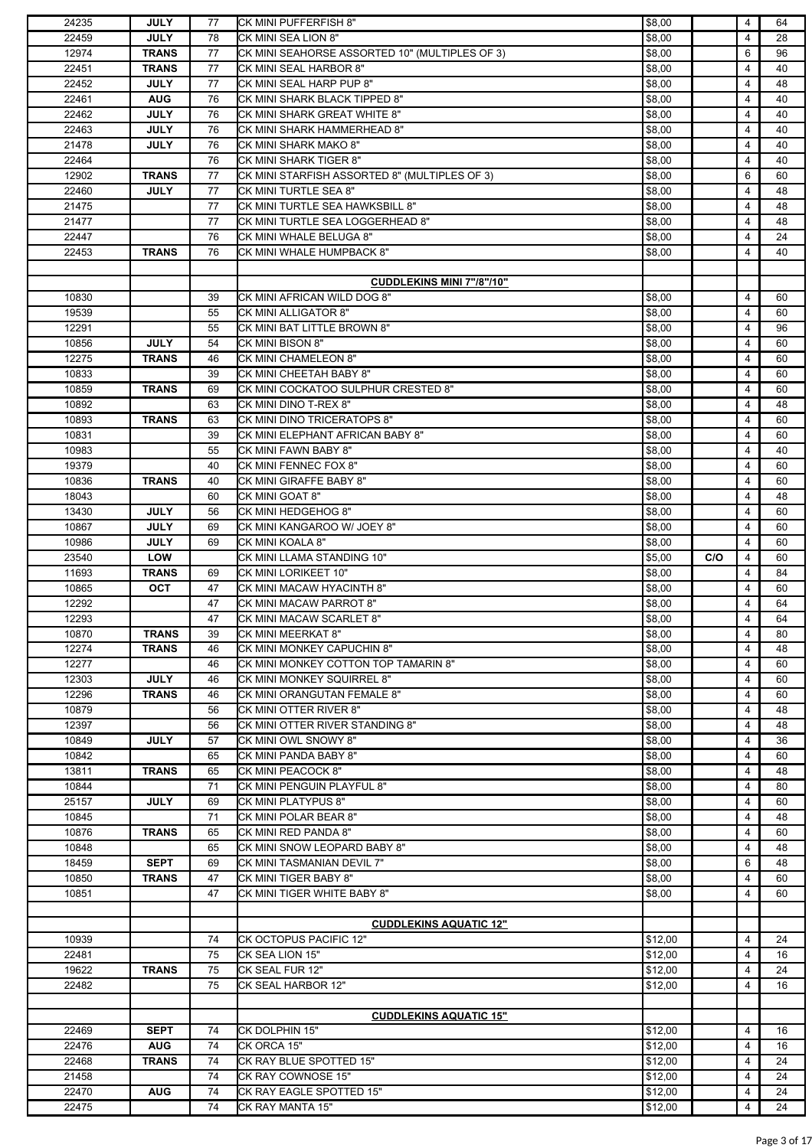| 24235 | <b>JULY</b>  | 77 | CK MINI PUFFERFISH 8"                          | \$8,00  |     | 4                       | 64 |
|-------|--------------|----|------------------------------------------------|---------|-----|-------------------------|----|
| 22459 | <b>JULY</b>  | 78 | CK MINI SEA LION 8"                            | \$8,00  |     | 4                       | 28 |
| 12974 | <b>TRANS</b> | 77 | CK MINI SEAHORSE ASSORTED 10" (MULTIPLES OF 3) | \$8,00  |     | 6                       | 96 |
| 22451 | <b>TRANS</b> | 77 | CK MINI SEAL HARBOR 8"                         | \$8,00  |     | 4                       | 40 |
| 22452 | <b>JULY</b>  | 77 | CK MINI SEAL HARP PUP 8"                       | \$8,00  |     | 4                       | 48 |
| 22461 | <b>AUG</b>   | 76 | CK MINI SHARK BLACK TIPPED 8"                  | \$8,00  |     | 4                       | 40 |
| 22462 | <b>JULY</b>  | 76 | CK MINI SHARK GREAT WHITE 8"                   | \$8,00  |     | 4                       | 40 |
| 22463 | <b>JULY</b>  | 76 | CK MINI SHARK HAMMERHEAD 8"                    | \$8,00  |     | 4                       | 40 |
| 21478 | <b>JULY</b>  | 76 | CK MINI SHARK MAKO 8"                          | \$8,00  |     | 4                       | 40 |
| 22464 |              | 76 | ICK MINI SHARK TIGER 8"                        | \$8,00  |     | 4                       | 40 |
| 12902 | <b>TRANS</b> | 77 | CK MINI STARFISH ASSORTED 8" (MULTIPLES OF 3)  | \$8,00  |     | 6                       | 60 |
| 22460 | <b>JULY</b>  | 77 | CK MINI TURTLE SEA 8"                          | \$8,00  |     | 4                       | 48 |
| 21475 |              | 77 | CK MINI TURTLE SEA HAWKSBILL 8"                | \$8,00  |     | 4                       | 48 |
| 21477 |              | 77 | CK MINI TURTLE SEA LOGGERHEAD 8"               | \$8,00  |     | 4                       | 48 |
| 22447 |              | 76 | CK MINI WHALE BELUGA 8"                        | \$8,00  |     | 4                       | 24 |
| 22453 | <b>TRANS</b> | 76 | CK MINI WHALE HUMPBACK 8"                      | \$8,00  |     | 4                       | 40 |
|       |              |    |                                                |         |     |                         |    |
|       |              |    |                                                |         |     |                         |    |
|       |              |    | <b>CUDDLEKINS MINI 7"/8"/10"</b>               |         |     |                         |    |
| 10830 |              | 39 | CK MINI AFRICAN WILD DOG 8"                    | \$8,00  |     | 4                       | 60 |
| 19539 |              | 55 | <b>CK MINI ALLIGATOR 8"</b>                    | \$8,00  |     | 4                       | 60 |
| 12291 |              | 55 | CK MINI BAT LITTLE BROWN 8"                    | \$8,00  |     | 4                       | 96 |
| 10856 | <b>JULY</b>  | 54 | CK MINI BISON 8"                               | \$8,00  |     | 4                       | 60 |
| 12275 | <b>TRANS</b> | 46 | CK MINI CHAMELEON 8"                           | \$8,00  |     | 4                       | 60 |
| 10833 |              | 39 | CK MINI CHEETAH BABY 8"                        | \$8,00  |     | 4                       | 60 |
| 10859 | <b>TRANS</b> | 69 | CK MINI COCKATOO SULPHUR CRESTED 8"            | \$8,00  |     | 4                       | 60 |
| 10892 |              | 63 | CK MINI DINO T-REX 8"                          | \$8,00  |     | 4                       | 48 |
| 10893 | <b>TRANS</b> | 63 | CK MINI DINO TRICERATOPS 8"                    | \$8,00  |     | 4                       | 60 |
| 10831 |              | 39 | CK MINI ELEPHANT AFRICAN BABY 8"               | \$8,00  |     | 4                       | 60 |
| 10983 |              | 55 | CK MINI FAWN BABY 8"                           | \$8,00  |     | 4                       | 40 |
| 19379 |              | 40 | CK MINI FENNEC FOX 8"                          | \$8,00  |     | 4                       | 60 |
| 10836 | <b>TRANS</b> | 40 | CK MINI GIRAFFE BABY 8"                        | \$8,00  |     | 4                       | 60 |
| 18043 |              | 60 | CK MINI GOAT 8"                                | \$8,00  |     | 4                       | 48 |
| 13430 | <b>JULY</b>  | 56 | CK MINI HEDGEHOG 8"                            | \$8,00  |     | 4                       | 60 |
| 10867 | <b>JULY</b>  | 69 | CK MINI KANGAROO W/ JOEY 8"                    | \$8,00  |     | 4                       | 60 |
| 10986 | <b>JULY</b>  | 69 | CK MINI KOALA 8"                               | \$8,00  |     | 4                       | 60 |
| 23540 | <b>LOW</b>   |    | CK MINI LLAMA STANDING 10"                     | \$5,00  | C/O | 4                       | 60 |
| 11693 | <b>TRANS</b> | 69 | CK MINI LORIKEET 10"                           | \$8,00  |     | 4                       | 84 |
| 10865 | <b>OCT</b>   | 47 | CK MINI MACAW HYACINTH 8"                      | \$8,00  |     | 4                       | 60 |
| 12292 |              | 47 | CK MINI MACAW PARROT 8"                        | \$8,00  |     | 4                       | 64 |
| 12293 |              | 47 | CK MINI MACAW SCARLET 8"                       | \$8,00  |     | 4                       | 64 |
| 10870 | <b>TRANS</b> | 39 | CK MINI MEERKAT 8"                             | \$8,00  |     | 4                       | 80 |
| 12274 | <b>TRANS</b> | 46 | CK MINI MONKEY CAPUCHIN 8"                     | \$8,00  |     | 4                       | 48 |
| 12277 |              | 46 | CK MINI MONKEY COTTON TOP TAMARIN 8"           | \$8,00  |     | 4                       | 60 |
|       |              |    |                                                |         |     |                         |    |
| 12303 | <b>JULY</b>  | 46 | CK MINI MONKEY SQUIRREL 8"                     | \$8,00  |     | 4                       | 60 |
| 12296 | <b>TRANS</b> | 46 | CK MINI ORANGUTAN FEMALE 8"                    | \$8,00  |     | 4                       | 60 |
| 10879 |              | 56 | ICK MINI OTTER RIVER 8"                        | \$8,00  |     | 4                       | 48 |
| 12397 |              | 56 | CK MINI OTTER RIVER STANDING 8"                | \$8,00  |     | 4                       | 48 |
| 10849 | <b>JULY</b>  | 57 | CK MINI OWL SNOWY 8"                           | \$8,00  |     | 4                       | 36 |
| 10842 |              | 65 | CK MINI PANDA BABY 8"                          | \$8,00  |     | 4                       | 60 |
| 13811 | <b>TRANS</b> | 65 | CK MINI PEACOCK 8"                             | \$8,00  |     | 4                       | 48 |
| 10844 |              | 71 | CK MINI PENGUIN PLAYFUL 8"                     | \$8,00  |     | 4                       | 80 |
| 25157 | <b>JULY</b>  | 69 | CK MINI PLATYPUS 8"                            | \$8,00  |     | 4                       | 60 |
| 10845 |              | 71 | CK MINI POLAR BEAR 8"                          | \$8,00  |     | 4                       | 48 |
| 10876 | <b>TRANS</b> | 65 | CK MINI RED PANDA 8"                           | \$8,00  |     | 4                       | 60 |
| 10848 |              | 65 | CK MINI SNOW LEOPARD BABY 8"                   | \$8,00  |     | 4                       | 48 |
| 18459 | <b>SEPT</b>  | 69 | CK MINI TASMANIAN DEVIL 7"                     | \$8,00  |     | 6                       | 48 |
| 10850 | <b>TRANS</b> | 47 | CK MINI TIGER BABY 8"                          | \$8,00  |     | 4                       | 60 |
| 10851 |              | 47 | CK MINI TIGER WHITE BABY 8"                    | \$8,00  |     | 4                       | 60 |
|       |              |    |                                                |         |     |                         |    |
|       |              |    | <b>CUDDLEKINS AQUATIC 12"</b>                  |         |     |                         |    |
| 10939 |              | 74 | CK OCTOPUS PACIFIC 12"                         | \$12,00 |     | 4                       | 24 |
| 22481 |              | 75 | CK SEA LION 15"                                | \$12,00 |     | $\overline{\mathbf{4}}$ | 16 |
| 19622 | <b>TRANS</b> | 75 | CK SEAL FUR 12"                                | \$12,00 |     | 4                       | 24 |
| 22482 |              | 75 | CK SEAL HARBOR 12"                             | \$12,00 |     | 4                       | 16 |
|       |              |    |                                                |         |     |                         |    |
|       |              |    | <b>CUDDLEKINS AQUATIC 15"</b>                  |         |     |                         |    |
| 22469 | <b>SEPT</b>  | 74 | CK DOLPHIN 15"                                 | \$12,00 |     | 4                       | 16 |
| 22476 | <b>AUG</b>   | 74 | CK ORCA 15"                                    | \$12,00 |     | 4                       | 16 |
| 22468 | <b>TRANS</b> | 74 | CK RAY BLUE SPOTTED 15"                        | \$12,00 |     | 4                       | 24 |
| 21458 |              | 74 | CK RAY COWNOSE 15"                             | \$12,00 |     | 4                       | 24 |
| 22470 | <b>AUG</b>   | 74 | CK RAY EAGLE SPOTTED 15"                       | \$12,00 |     | 4                       | 24 |
| 22475 |              | 74 | CK RAY MANTA 15"                               | \$12,00 |     | 4                       | 24 |
|       |              |    |                                                |         |     |                         |    |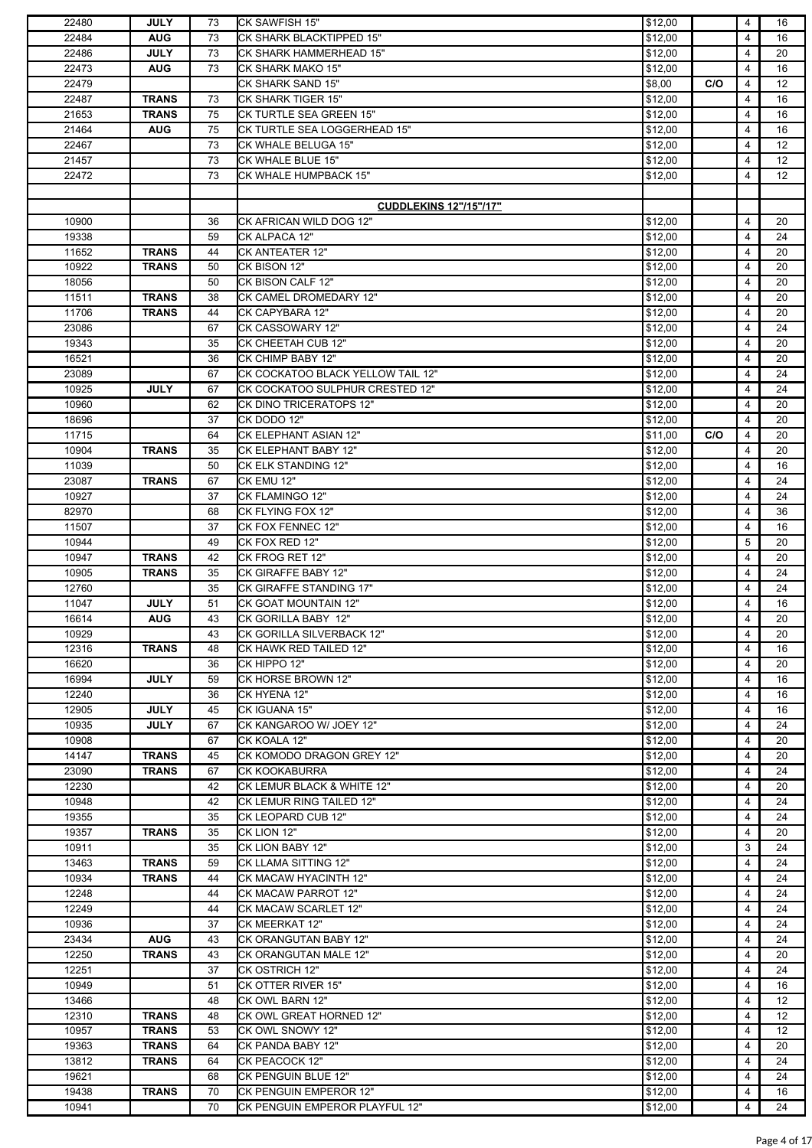| 22480 | <b>JULY</b>  | 73 | CK SAWFISH 15"                    | \$12,00 |     | 4 | 16                |
|-------|--------------|----|-----------------------------------|---------|-----|---|-------------------|
| 22484 | <b>AUG</b>   | 73 | CK SHARK BLACKTIPPED 15"          | \$12,00 |     | 4 | 16                |
| 22486 | <b>JULY</b>  | 73 | CK SHARK HAMMERHEAD 15"           | \$12,00 |     | 4 | 20                |
|       |              |    |                                   |         |     |   |                   |
| 22473 | <b>AUG</b>   | 73 | CK SHARK MAKO 15"                 | \$12,00 |     | 4 | 16                |
| 22479 |              |    | CK SHARK SAND 15"                 | \$8,00  | C/O | 4 | 12                |
| 22487 | <b>TRANS</b> | 73 | CK SHARK TIGER 15"                | \$12,00 |     | 4 | 16                |
| 21653 | <b>TRANS</b> | 75 | CK TURTLE SEA GREEN 15"           | \$12,00 |     | 4 | 16                |
| 21464 | <b>AUG</b>   | 75 | CK TURTLE SEA LOGGERHEAD 15"      | \$12,00 |     | 4 | 16                |
| 22467 |              | 73 | CK WHALE BELUGA 15"               | \$12,00 |     | 4 | 12                |
|       |              |    |                                   |         |     |   |                   |
| 21457 |              | 73 | CK WHALE BLUE 15"                 | \$12,00 |     | 4 | 12                |
| 22472 |              | 73 | CK WHALE HUMPBACK 15"             | \$12,00 |     | 4 | 12                |
|       |              |    |                                   |         |     |   |                   |
|       |              |    | <b>CUDDLEKINS 12"/15"/17"</b>     |         |     |   |                   |
| 10900 |              | 36 | CK AFRICAN WILD DOG 12"           | \$12,00 |     | 4 | 20                |
| 19338 |              | 59 | CK ALPACA 12"                     | \$12,00 |     | 4 | 24                |
|       |              |    |                                   |         |     |   |                   |
| 11652 | <b>TRANS</b> | 44 | CK ANTEATER 12"                   | \$12,00 |     | 4 | 20                |
| 10922 | <b>TRANS</b> | 50 | CK BISON 12"                      | \$12,00 |     | 4 | 20                |
| 18056 |              | 50 | CK BISON CALF 12"                 | \$12,00 |     | 4 | 20                |
| 11511 | <b>TRANS</b> | 38 | CK CAMEL DROMEDARY 12"            | \$12,00 |     | 4 | 20                |
| 11706 | <b>TRANS</b> | 44 | CK CAPYBARA 12"                   | \$12,00 |     | 4 | 20                |
| 23086 |              | 67 | CK CASSOWARY 12"                  | \$12,00 |     | 4 | 24                |
|       |              |    |                                   |         |     |   |                   |
| 19343 |              | 35 | CK CHEETAH CUB 12"                | \$12,00 |     | 4 | 20                |
| 16521 |              | 36 | CK CHIMP BABY 12"                 | \$12,00 |     | 4 | 20                |
| 23089 |              | 67 | CK COCKATOO BLACK YELLOW TAIL 12" | \$12,00 |     | 4 | 24                |
| 10925 | <b>JULY</b>  | 67 | CK COCKATOO SULPHUR CRESTED 12"   | \$12,00 |     | 4 | 24                |
| 10960 |              | 62 | CK DINO TRICERATOPS 12"           | \$12,00 |     | 4 | 20                |
| 18696 |              | 37 | CK DODO 12"                       |         |     | 4 | 20                |
|       |              |    |                                   | \$12,00 |     |   |                   |
| 11715 |              | 64 | CK ELEPHANT ASIAN 12"             | \$11,00 | C/O | 4 | 20                |
| 10904 | <b>TRANS</b> | 35 | CK ELEPHANT BABY 12"              | \$12,00 |     | 4 | 20                |
| 11039 |              | 50 | CK ELK STANDING 12"               | \$12,00 |     | 4 | 16                |
| 23087 | <b>TRANS</b> | 67 | CK EMU 12"                        | \$12,00 |     | 4 | 24                |
| 10927 |              | 37 | CK FLAMINGO 12"                   | \$12,00 |     | 4 | 24                |
|       |              |    |                                   |         |     |   |                   |
| 82970 |              | 68 | CK FLYING FOX 12"                 | \$12,00 |     | 4 | 36                |
| 11507 |              | 37 | CK FOX FENNEC 12"                 | \$12,00 |     | 4 | 16                |
| 10944 |              | 49 | CK FOX RED 12"                    | \$12,00 |     | 5 | 20                |
| 10947 | <b>TRANS</b> | 42 | CK FROG RET 12"                   | \$12,00 |     | 4 | 20                |
| 10905 | <b>TRANS</b> | 35 | CK GIRAFFE BABY 12"               | \$12,00 |     | 4 | 24                |
|       |              | 35 |                                   |         |     | 4 | 24                |
| 12760 |              |    | CK GIRAFFE STANDING 17"           | \$12,00 |     |   |                   |
| 11047 | <b>JULY</b>  | 51 | CK GOAT MOUNTAIN 12"              | \$12,00 |     | 4 | 16                |
| 16614 | <b>AUG</b>   | 43 | CK GORILLA BABY 12"               | \$12,00 |     | 4 | 20                |
| 10929 |              | 43 | CK GORILLA SILVERBACK 12"         | \$12,00 |     | 4 | 20                |
| 12316 | <b>TRANS</b> | 48 | ICK HAWK RED TAILED 12"           | \$12,00 |     | 4 | 16                |
| 16620 |              | 36 | CK HIPPO 12"                      | \$12,00 |     | 4 | 20                |
| 16994 | <b>JULY</b>  | 59 | CK HORSE BROWN 12"                |         |     |   | 16                |
|       |              |    |                                   | \$12,00 |     | 4 |                   |
| 12240 |              | 36 | CK HYENA 12"                      | \$12,00 |     | 4 | 16                |
| 12905 | <b>JULY</b>  | 45 | CK IGUANA 15"                     | \$12,00 |     | 4 | 16                |
| 10935 | <b>JULY</b>  | 67 | CK KANGAROO W/ JOEY 12"           | \$12,00 |     | 4 | 24                |
| 10908 |              | 67 | CK KOALA 12"                      | \$12,00 |     | 4 | 20                |
| 14147 | <b>TRANS</b> | 45 | CK KOMODO DRAGON GREY 12"         | \$12,00 |     | 4 | 20                |
| 23090 | <b>TRANS</b> | 67 | CK KOOKABURRA                     | \$12,00 |     | 4 | 24                |
|       |              |    |                                   |         |     |   |                   |
| 12230 |              | 42 | CK LEMUR BLACK & WHITE 12"        | \$12,00 |     | 4 | 20                |
| 10948 |              | 42 | CK LEMUR RING TAILED 12"          | \$12,00 |     | 4 | 24                |
| 19355 |              | 35 | CK LEOPARD CUB 12"                | \$12,00 |     | 4 | 24                |
| 19357 | <b>TRANS</b> | 35 | CK LION 12"                       | \$12,00 |     | 4 | 20                |
| 10911 |              | 35 | CK LION BABY 12"                  | \$12,00 |     | 3 | 24                |
| 13463 | <b>TRANS</b> | 59 | CK LLAMA SITTING 12"              | \$12,00 |     | 4 | 24                |
|       |              |    |                                   |         |     |   |                   |
| 10934 | <b>TRANS</b> | 44 | CK MACAW HYACINTH 12"             | \$12,00 |     | 4 | 24                |
| 12248 |              | 44 | CK MACAW PARROT 12"               | \$12,00 |     | 4 | 24                |
| 12249 |              | 44 | CK MACAW SCARLET 12"              | \$12,00 |     | 4 | 24                |
| 10936 |              | 37 | CK MEERKAT 12"                    | \$12,00 |     | 4 | 24                |
| 23434 | <b>AUG</b>   | 43 | ICK ORANGUTAN BABY 12"            | \$12,00 |     | 4 | 24                |
| 12250 | <b>TRANS</b> | 43 | CK ORANGUTAN MALE 12"             | \$12,00 |     | 4 | 20                |
|       |              |    |                                   |         |     |   |                   |
| 12251 |              | 37 | CK OSTRICH 12"                    | \$12,00 |     | 4 | 24                |
| 10949 |              | 51 | CK OTTER RIVER 15"                | \$12,00 |     | 4 | 16                |
| 13466 |              | 48 | CK OWL BARN 12"                   | \$12,00 |     | 4 | $12 \overline{ }$ |
| 12310 | <b>TRANS</b> | 48 | CK OWL GREAT HORNED 12"           | \$12,00 |     | 4 | 12                |
| 10957 | <b>TRANS</b> | 53 | CK OWL SNOWY 12"                  | \$12,00 |     | 4 | $12 \overline{ }$ |
|       |              |    |                                   |         |     |   |                   |
| 19363 | <b>TRANS</b> | 64 | CK PANDA BABY 12"                 | \$12,00 |     | 4 | 20                |
| 13812 | <b>TRANS</b> | 64 | CK PEACOCK 12"                    | \$12,00 |     | 4 | 24                |
| 19621 |              | 68 | CK PENGUIN BLUE 12"               | \$12,00 |     | 4 | 24                |
| 19438 | <b>TRANS</b> | 70 | CK PENGUIN EMPEROR 12"            | \$12,00 |     | 4 | 16                |
| 10941 |              | 70 | CK PENGUIN EMPEROR PLAYFUL 12"    | \$12,00 |     | 4 | 24                |
|       |              |    |                                   |         |     |   |                   |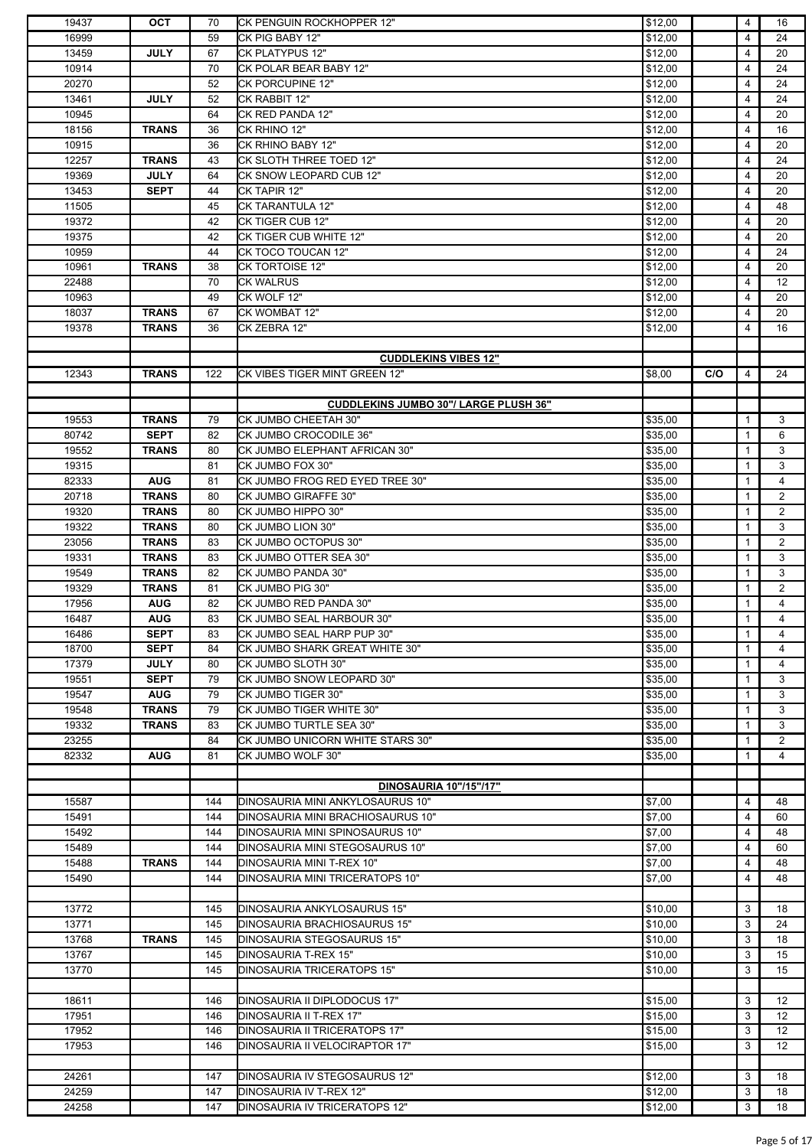| 19437 | <b>OCT</b>   | 70  | CK PENGUIN ROCKHOPPER 12"                    | \$12,00 |     | $\overline{4}$ | 16                |
|-------|--------------|-----|----------------------------------------------|---------|-----|----------------|-------------------|
| 16999 |              | 59  | CK PIG BABY 12"                              | \$12,00 |     | 4              | 24                |
| 13459 | <b>JULY</b>  | 67  | <b>CK PLATYPUS 12"</b>                       | \$12,00 |     | 4              | 20                |
| 10914 |              | 70  | CK POLAR BEAR BABY 12"                       | \$12,00 |     | 4              | 24                |
|       |              |     |                                              |         |     |                |                   |
| 20270 |              | 52  | CK PORCUPINE 12"                             | \$12,00 |     | 4              | 24                |
| 13461 | <b>JULY</b>  | 52  | CK RABBIT 12"                                | \$12,00 |     | 4              | 24                |
| 10945 |              | 64  | CK RED PANDA 12"                             | \$12,00 |     | 4              | 20                |
| 18156 | <b>TRANS</b> | 36  | CK RHINO 12"                                 | \$12,00 |     | 4              | 16                |
| 10915 |              | 36  | CK RHINO BABY 12"                            | \$12,00 |     | 4              | 20                |
| 12257 | <b>TRANS</b> | 43  | CK SLOTH THREE TOED 12"                      | \$12,00 |     | 4              | 24                |
| 19369 | <b>JULY</b>  | 64  | CK SNOW LEOPARD CUB 12"                      | \$12,00 |     | 4              | 20                |
| 13453 | <b>SEPT</b>  | 44  | CK TAPIR 12"                                 | \$12,00 |     | 4              | 20                |
| 11505 |              | 45  | <b>CK TARANTULA 12"</b>                      | \$12.00 |     | 4              | 48                |
|       |              |     |                                              |         |     |                |                   |
| 19372 |              | 42  | CK TIGER CUB 12"                             | \$12,00 |     | 4              | 20                |
| 19375 |              | 42  | CK TIGER CUB WHITE 12"                       | \$12,00 |     | 4              | 20                |
| 10959 |              | 44  | CK TOCO TOUCAN 12"                           | \$12,00 |     | 4              | 24                |
| 10961 | <b>TRANS</b> | 38  | <b>CK TORTOISE 12"</b>                       | \$12,00 |     | 4              | 20                |
| 22488 |              | 70  | <b>CK WALRUS</b>                             | \$12,00 |     | 4              | 12                |
| 10963 |              | 49  | CK WOLF 12"                                  | \$12,00 |     | 4              | 20                |
| 18037 | <b>TRANS</b> | 67  | CK WOMBAT 12"                                | \$12,00 |     | 4              | 20                |
| 19378 | <b>TRANS</b> | 36  | CK ZEBRA 12"                                 | \$12,00 |     | 4              | 16                |
|       |              |     |                                              |         |     |                |                   |
|       |              |     |                                              |         |     |                |                   |
|       |              |     | <b>CUDDLEKINS VIBES 12"</b>                  |         |     |                |                   |
| 12343 | <b>TRANS</b> | 122 | CK VIBES TIGER MINT GREEN 12"                | \$8,00  | C/O | 4              | 24                |
|       |              |     |                                              |         |     |                |                   |
|       |              |     | <b>CUDDLEKINS JUMBO 30"/ LARGE PLUSH 36"</b> |         |     |                |                   |
| 19553 | <b>TRANS</b> | 79  | CK JUMBO CHEETAH 30"                         | \$35,00 |     | $\mathbf{1}$   | 3                 |
| 80742 | <b>SEPT</b>  | 82  | CK JUMBO CROCODILE 36"                       | \$35,00 |     | 1              | 6                 |
| 19552 | <b>TRANS</b> | 80  | CK JUMBO ELEPHANT AFRICAN 30"                | \$35,00 |     | $\mathbf{1}$   | 3                 |
| 19315 |              | 81  | CK JUMBO FOX 30"                             |         |     | 1              | 3                 |
|       |              |     |                                              | \$35,00 |     |                |                   |
| 82333 | <b>AUG</b>   | 81  | CK JUMBO FROG RED EYED TREE 30"              | \$35,00 |     | 1              | 4                 |
| 20718 | <b>TRANS</b> | 80  | CK JUMBO GIRAFFE 30"                         | \$35,00 |     | 1              | $\overline{2}$    |
| 19320 | <b>TRANS</b> | 80  | CK JUMBO HIPPO 30"                           | \$35,00 |     | $\mathbf{1}$   | 2                 |
| 19322 | <b>TRANS</b> | 80  | CK JUMBO LION 30"                            | \$35,00 |     | $\mathbf{1}$   | 3                 |
| 23056 | <b>TRANS</b> | 83  | CK JUMBO OCTOPUS 30"                         | \$35,00 |     | $\mathbf{1}$   | $\overline{2}$    |
| 19331 | <b>TRANS</b> | 83  | CK JUMBO OTTER SEA 30"                       | \$35,00 |     | $\mathbf{1}$   | 3                 |
| 19549 | <b>TRANS</b> | 82  | CK JUMBO PANDA 30"                           | \$35,00 |     | $\mathbf{1}$   | 3                 |
| 19329 | <b>TRANS</b> | 81  | CK JUMBO PIG 30"                             | \$35,00 |     | 1              | $\overline{2}$    |
| 17956 | <b>AUG</b>   | 82  |                                              |         |     |                | 4                 |
|       |              |     | CK JUMBO RED PANDA 30"                       | \$35,00 |     | 1              |                   |
| 16487 | <b>AUG</b>   | 83  | CK JUMBO SEAL HARBOUR 30"                    | \$35,00 |     | $\mathbf{1}$   | 4                 |
| 16486 | <b>SEPT</b>  | 83  | CK JUMBO SEAL HARP PUP 30"                   | \$35,00 |     | $\mathbf{1}$   | 4                 |
| 18700 | <b>SEPT</b>  | 84  | CK JUMBO SHARK GREAT WHITE 30"               | \$35,00 |     | $\mathbf{1}$   | 4                 |
| 17379 | <b>JULY</b>  | 80  | CK JUMBO SLOTH 30"                           | \$35.00 |     | 1              | 4                 |
| 19551 | <b>SEPT</b>  | 79  | CK JUMBO SNOW LEOPARD 30"                    | \$35,00 |     | $\mathbf{1}$   | 3                 |
| 19547 | <b>AUG</b>   | 79  | CK JUMBO TIGER 30"                           | \$35,00 |     | 1              | 3                 |
| 19548 | <b>TRANS</b> | 79  | CK JUMBO TIGER WHITE 30"                     | \$35,00 |     | 1              | 3                 |
| 19332 | TRANS        | 83  | CK JUMBO TURTLE SEA 30"                      | \$35,00 |     | 1              | 3                 |
| 23255 |              | 84  | CK JUMBO UNICORN WHITE STARS 30"             | \$35,00 |     | $\mathbf{1}$   | $\overline{2}$    |
|       |              |     |                                              |         |     |                |                   |
| 82332 | <b>AUG</b>   | 81  | CK JUMBO WOLF 30"                            | \$35,00 |     | $\mathbf{1}$   | 4                 |
|       |              |     |                                              |         |     |                |                   |
|       |              |     | <b>DINOSAURIA 10"/15"/17"</b>                |         |     |                |                   |
| 15587 |              | 144 | DINOSAURIA MINI ANKYLOSAURUS 10"             | \$7,00  |     | 4              | 48                |
| 15491 |              | 144 | DINOSAURIA MINI BRACHIOSAURUS 10"            | \$7,00  |     | 4              | 60                |
| 15492 |              | 144 | DINOSAURIA MINI SPINOSAURUS 10"              | \$7,00  |     | 4              | 48                |
| 15489 |              | 144 | DINOSAURIA MINI STEGOSAURUS 10"              | \$7,00  |     | 4              | 60                |
| 15488 | <b>TRANS</b> | 144 | DINOSAURIA MINI T-REX 10"                    | \$7,00  |     | 4              | 48                |
| 15490 |              | 144 | DINOSAURIA MINI TRICERATOPS 10"              | \$7,00  |     | 4              | 48                |
|       |              |     |                                              |         |     |                |                   |
| 13772 |              | 145 | DINOSAURIA ANKYLOSAURUS 15"                  | \$10,00 |     | 3              | 18                |
|       |              |     |                                              |         |     |                |                   |
| 13771 |              | 145 | DINOSAURIA BRACHIOSAURUS 15"                 | \$10,00 |     | 3              | 24                |
| 13768 | <b>TRANS</b> | 145 | DINOSAURIA STEGOSAURUS 15"                   | \$10,00 |     | 3              | 18                |
| 13767 |              | 145 | DINOSAURIA T-REX 15"                         | \$10,00 |     | 3              | 15                |
| 13770 |              | 145 | DINOSAURIA TRICERATOPS 15"                   | \$10,00 |     | 3              | 15                |
|       |              |     |                                              |         |     |                |                   |
| 18611 |              | 146 | DINOSAURIA II DIPLODOCUS 17"                 | \$15,00 |     | 3              | $12 \overline{ }$ |
| 17951 |              | 146 | DINOSAURIA II T-REX 17"                      | \$15,00 |     | 3              | $12 \overline{ }$ |
| 17952 |              | 146 | DINOSAURIA II TRICERATOPS 17"                | \$15,00 |     | 3              | 12                |
| 17953 |              | 146 | DINOSAURIA II VELOCIRAPTOR 17"               | \$15,00 |     | 3              | $12 \overline{ }$ |
|       |              |     |                                              |         |     |                |                   |
|       |              |     |                                              |         |     |                |                   |
| 24261 |              | 147 | DINOSAURIA IV STEGOSAURUS 12"                | \$12,00 |     | 3              | 18                |
| 24259 |              | 147 | DINOSAURIA IV T-REX 12"                      | \$12,00 |     | 3              | 18                |
| 24258 |              | 147 | DINOSAURIA IV TRICERATOPS 12"                | \$12,00 |     | 3              | 18                |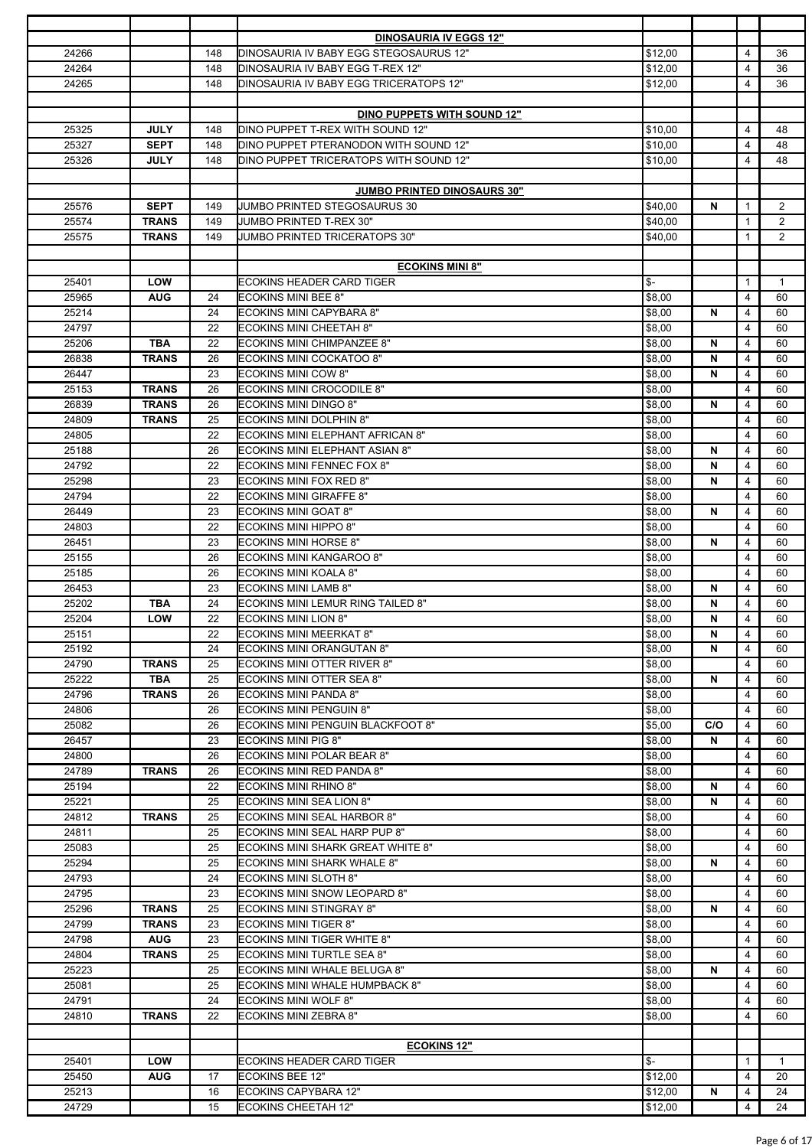|                |              |          | <b>DINOSAURIA IV EGGS 12"</b>                                       |                  |        |              |                |
|----------------|--------------|----------|---------------------------------------------------------------------|------------------|--------|--------------|----------------|
| 24266          |              | 148      | DINOSAURIA IV BABY EGG STEGOSAURUS 12"                              | \$12,00          |        | 4            | 36             |
| 24264          |              | 148      | DINOSAURIA IV BABY EGG T-REX 12"                                    | \$12,00          |        | 4            | 36             |
| 24265          |              | 148      | DINOSAURIA IV BABY EGG TRICERATOPS 12"                              | \$12,00          |        | 4            | 36             |
|                |              |          | <b>DINO PUPPETS WITH SOUND 12"</b>                                  |                  |        |              |                |
| 25325          | <b>JULY</b>  | 148      | DINO PUPPET T-REX WITH SOUND 12"                                    | \$10,00          |        | 4            | 48             |
| 25327          | <b>SEPT</b>  | 148      | DINO PUPPET PTERANODON WITH SOUND 12"                               | \$10,00          |        | 4            | 48             |
| 25326          | <b>JULY</b>  | 148      | DINO PUPPET TRICERATOPS WITH SOUND 12"                              | \$10,00          |        | 4            | 48             |
|                |              |          |                                                                     |                  |        |              |                |
|                |              |          | <b>JUMBO PRINTED DINOSAURS 30"</b>                                  |                  |        |              |                |
| 25576          | <b>SEPT</b>  | 149      | JUMBO PRINTED STEGOSAURUS 30                                        | \$40,00          | N      | 1            | $\overline{2}$ |
| 25574          | <b>TRANS</b> | 149      | JUMBO PRINTED T-REX 30"                                             | \$40,00          |        | $\mathbf{1}$ | $\overline{2}$ |
| 25575          | <b>TRANS</b> | 149      | JUMBO PRINTED TRICERATOPS 30"                                       | \$40,00          |        | 1            | $\overline{2}$ |
|                |              |          |                                                                     |                  |        |              |                |
|                |              |          | <b>ECOKINS MINI 8"</b>                                              |                  |        |              |                |
| 25401          | <b>LOW</b>   |          | <b>ECOKINS HEADER CARD TIGER</b>                                    | \$-              |        | $\mathbf{1}$ | $\mathbf{1}$   |
| 25965          | <b>AUG</b>   | 24       | <b>ECOKINS MINI BEE 8"</b>                                          | \$8,00           |        | 4            | 60             |
| 25214          |              | 24       | ECOKINS MINI CAPYBARA 8"                                            | \$8,00           | N      | 4            | 60             |
| 24797          |              | 22       | <b>ECOKINS MINI CHEETAH 8"</b>                                      | \$8,00           |        | 4            | 60             |
| 25206          | <b>TBA</b>   | 22       | ECOKINS MINI CHIMPANZEE 8"                                          | \$8,00           | N      | 4            | 60             |
| 26838          | <b>TRANS</b> | 26       | ECOKINS MINI COCKATOO 8"                                            | \$8,00           | N      | 4            | 60             |
| 26447          |              | 23       | <b>ECOKINS MINI COW 8"</b>                                          | \$8,00           | N      | 4            | 60             |
| 25153          | <b>TRANS</b> | 26       | <b>ECOKINS MINI CROCODILE 8"</b>                                    | \$8,00           |        | 4            | 60             |
| 26839          | <b>TRANS</b> | 26       | ECOKINS MINI DINGO 8"                                               | \$8,00           | N      | 4            | 60             |
| 24809          | <b>TRANS</b> | 25       | <b>ECOKINS MINI DOLPHIN 8"</b>                                      | \$8,00           |        | 4            | 60             |
| 24805          |              | 22       | ECOKINS MINI ELEPHANT AFRICAN 8"                                    | \$8,00           |        | 4            | 60             |
| 25188          |              | 26       | ECOKINS MINI ELEPHANT ASIAN 8"                                      | \$8,00           | N      | 4            | 60             |
| 24792          |              | 22       | ECOKINS MINI FENNEC FOX 8"                                          | \$8,00           | N      | 4            | 60             |
| 25298          |              | 23       | <b>ECOKINS MINI FOX RED 8"</b>                                      | \$8,00           | N      | 4            | 60             |
| 24794          |              | 22       | <b>ECOKINS MINI GIRAFFE 8"</b>                                      | \$8,00           |        | 4            | 60             |
| 26449          |              | 23       | <b>ECOKINS MINI GOAT 8"</b>                                         | \$8,00           | N      | 4            | 60             |
| 24803          |              | 22       | <b>ECOKINS MINI HIPPO 8"</b>                                        | \$8,00           |        | 4            | 60             |
| 26451          |              | 23       | <b>ECOKINS MINI HORSE 8"</b>                                        | \$8,00           | N      | 4            | 60             |
| 25155          |              | 26       | ECOKINS MINI KANGAROO 8"                                            | \$8,00           |        | 4            | 60             |
| 25185          |              | 26       | <b>ECOKINS MINI KOALA 8"</b>                                        | \$8,00           |        | 4            | 60             |
| 26453          |              | 23       | <b>ECOKINS MINI LAMB 8"</b>                                         | \$8,00           | N      | 4            | 60             |
| 25202          | <b>TBA</b>   | 24       | <b>ECOKINS MINI LEMUR RING TAILED 8"</b>                            | \$8,00           | N      | 4            | 60             |
| 25204          | LOW          | 22       | <b>ECOKINS MINI LION 8"</b>                                         | \$8,00           | N      | 4            | 60             |
| 25151          |              | 22       | <b>ECOKINS MINI MEERKAT 8"</b>                                      | \$8,00           | N      | 4            | 60             |
| 25192          |              | 24       | ECOKINS MINI ORANGUTAN 8"                                           | \$8,00           | N      | 4            | 60             |
| 24790          | <b>TRANS</b> | 25       | <b>ECOKINS MINI OTTER RIVER 8"</b>                                  | \$8,00           |        | 4            | 60             |
| 25222          | <b>TBA</b>   | 25       | ECOKINS MINI OTTER SEA 8"                                           | \$8,00           | N      | 4            | 60             |
| 24796          | <b>TRANS</b> | 26       | <b>ECOKINS MINI PANDA 8"</b>                                        | \$8,00           |        | 4            | 60             |
| 24806          |              | 26       | <b>ECOKINS MINI PENGUIN 8"</b>                                      | \$8,00           |        | 4            | 60             |
| 25082          |              | 26       | ECOKINS MINI PENGUIN BLACKFOOT 8"                                   | \$5,00           | C/O    | 4            | 60             |
| 26457          |              | 23       | <b>ECOKINS MINI PIG 8"</b>                                          | \$8,00           | N      | 4            | 60             |
| 24800          |              | 26       | ECOKINS MINI POLAR BEAR 8"                                          | \$8,00           |        | 4            | 60             |
| 24789          | <b>TRANS</b> | 26       | ECOKINS MINI RED PANDA 8"                                           | \$8,00           |        | 4            | 60             |
| 25194<br>25221 |              | 22<br>25 | <b>ECOKINS MINI RHINO 8"</b><br><b>ECOKINS MINI SEA LION 8"</b>     | \$8,00<br>\$8,00 | N<br>N | 4<br>4       | 60<br>60       |
|                |              |          |                                                                     |                  |        | 4            | 60             |
| 24812<br>24811 | <b>TRANS</b> | 25<br>25 | ECOKINS MINI SEAL HARBOR 8"<br><b>ECOKINS MINI SEAL HARP PUP 8"</b> | \$8,00<br>\$8,00 |        | 4            | 60             |
| 25083          |              | 25       | <b>ECOKINS MINI SHARK GREAT WHITE 8"</b>                            | \$8,00           |        | 4            | 60             |
| 25294          |              | 25       | <b>ECOKINS MINI SHARK WHALE 8"</b>                                  | \$8,00           | N      | 4            | 60             |
| 24793          |              | 24       | ECOKINS MINI SLOTH 8"                                               | \$8,00           |        | 4            | 60             |
| 24795          |              | 23       | <b>ECOKINS MINI SNOW LEOPARD 8"</b>                                 | \$8,00           |        | 4            | 60             |
| 25296          | <b>TRANS</b> | 25       | <b>ECOKINS MINI STINGRAY 8"</b>                                     | \$8,00           | N      | 4            | 60             |
| 24799          | <b>TRANS</b> | 23       | ECOKINS MINI TIGER 8"                                               | \$8,00           |        | 4            | 60             |
| 24798          | <b>AUG</b>   | 23       | <b>ECOKINS MINI TIGER WHITE 8"</b>                                  | \$8,00           |        | 4            | 60             |
| 24804          | <b>TRANS</b> | 25       | ECOKINS MINI TURTLE SEA 8"                                          | \$8,00           |        | 4            | 60             |
| 25223          |              | 25       | ECOKINS MINI WHALE BELUGA 8"                                        | \$8,00           | N      | 4            | 60             |
| 25081          |              | 25       | ECOKINS MINI WHALE HUMPBACK 8"                                      | \$8,00           |        | 4            | 60             |
| 24791          |              | 24       | ECOKINS MINI WOLF 8"                                                | \$8,00           |        | 4            | 60             |
| 24810          | <b>TRANS</b> | 22       | ECOKINS MINI ZEBRA 8"                                               | \$8,00           |        | 4            | 60             |
|                |              |          |                                                                     |                  |        |              |                |
|                |              |          | <b>ECOKINS 12"</b>                                                  |                  |        |              |                |
| 25401          | <b>LOW</b>   |          | ECOKINS HEADER CARD TIGER                                           | $\mathsf{S}$ -   |        | $\mathbf{1}$ | $\mathbf{1}$   |
| 25450          | <b>AUG</b>   | 17       | <b>ECOKINS BEE 12"</b>                                              | \$12.00          |        | 4            | 20             |
| 25213          |              | 16       | <b>ECOKINS CAPYBARA 12"</b>                                         | \$12,00          | N      | 4            | 24             |
| 24729          |              | 15       | <b>ECOKINS CHEETAH 12"</b>                                          | \$12,00          |        | 4            | 24             |
|                |              |          |                                                                     |                  |        |              |                |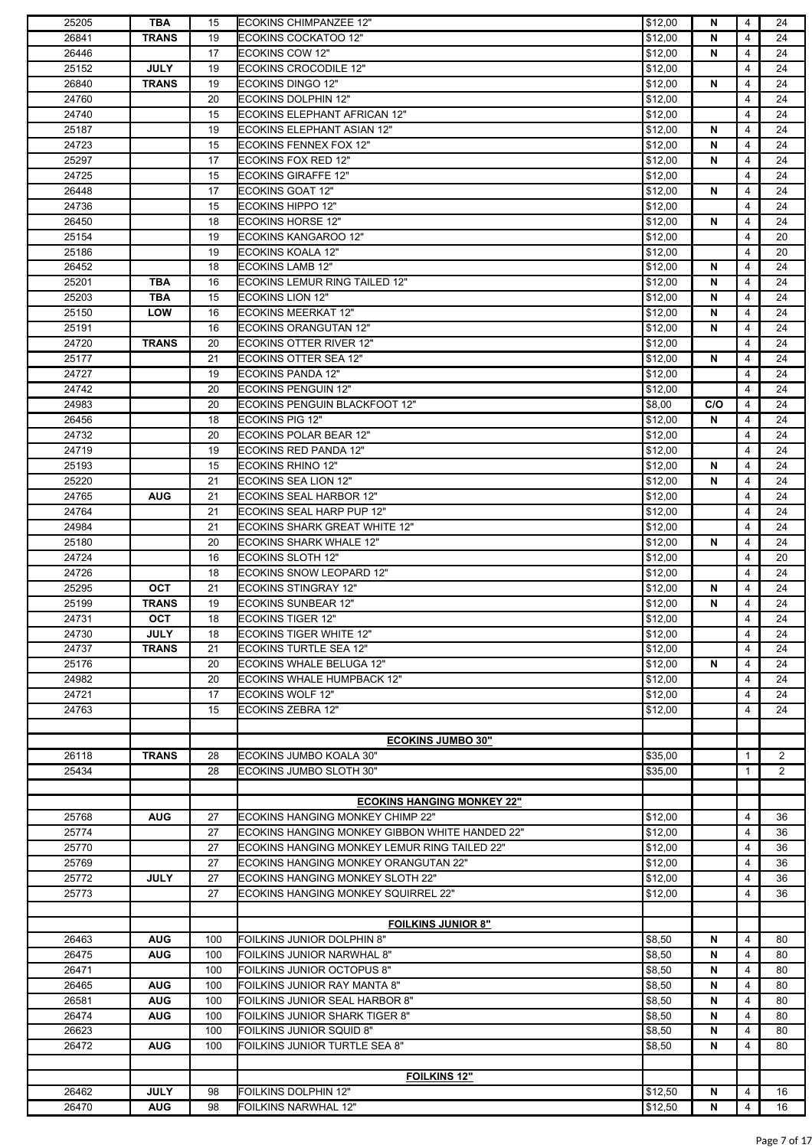| 25205 | TBA          | 15  | ECOKINS CHIMPANZEE 12"                         | \$12,00 | N   | 4            | 24                               |
|-------|--------------|-----|------------------------------------------------|---------|-----|--------------|----------------------------------|
| 26841 | <b>TRANS</b> | 19  | ECOKINS COCKATOO 12"                           | \$12,00 | N   | 4            | 24                               |
| 26446 |              | 17  | ECOKINS COW 12"                                | \$12,00 | N   | 4            | 24                               |
| 25152 | <b>JULY</b>  | 19  | ECOKINS CROCODILE 12"                          | \$12,00 |     | 4            | 24                               |
| 26840 | <b>TRANS</b> | 19  | <b>ECOKINS DINGO 12"</b>                       | \$12,00 | N   | 4            | 24                               |
| 24760 |              | 20  | ECOKINS DOLPHIN 12"                            | \$12,00 |     | 4            | 24                               |
| 24740 |              | 15  | ECOKINS ELEPHANT AFRICAN 12"                   | \$12,00 |     | 4            | 24                               |
| 25187 |              | 19  | ECOKINS ELEPHANT ASIAN 12"                     | \$12,00 | N   | 4            | 24                               |
| 24723 |              | 15  | ECOKINS FENNEX FOX 12"                         | \$12,00 | N   | 4            | 24                               |
| 25297 |              | 17  | ECOKINS FOX RED 12"                            | \$12,00 | N   | 4            | 24                               |
| 24725 |              | 15  | ECOKINS GIRAFFE 12"                            | \$12,00 |     | 4            | 24                               |
| 26448 |              | 17  | <b>ECOKINS GOAT 12"</b>                        | \$12,00 | N   | 4            | 24                               |
| 24736 |              | 15  | <b>ECOKINS HIPPO 12"</b>                       | \$12,00 |     | 4            | 24                               |
| 26450 |              | 18  | <b>ECOKINS HORSE 12"</b>                       | \$12,00 | N   | 4            | 24                               |
| 25154 |              | 19  | ECOKINS KANGAROO 12"                           | \$12,00 |     | 4            | 20                               |
| 25186 |              | 19  | ECOKINS KOALA 12"                              | \$12,00 |     | 4            | 20                               |
| 26452 |              | 18  | <b>ECOKINS LAMB 12"</b>                        | \$12,00 | N   | 4            | 24                               |
| 25201 | <b>TBA</b>   |     |                                                |         | N   |              | 24                               |
|       |              | 16  | ECOKINS LEMUR RING TAILED 12"                  | \$12,00 |     | 4            |                                  |
| 25203 | <b>TBA</b>   | 15  | <b>ECOKINS LION 12"</b>                        | \$12,00 | N   | 4            | 24                               |
| 25150 | <b>LOW</b>   | 16  | ECOKINS MEERKAT 12"                            | \$12,00 | N   | 4            | 24                               |
| 25191 |              | 16  | ECOKINS ORANGUTAN 12"                          | \$12,00 | N   | 4            | 24                               |
| 24720 | <b>TRANS</b> | 20  | ECOKINS OTTER RIVER 12"                        | \$12,00 |     | 4            | 24                               |
| 25177 |              | 21  | ECOKINS OTTER SEA 12"                          | \$12,00 | N   | 4            | 24                               |
| 24727 |              | 19  | <b>ECOKINS PANDA 12"</b>                       | \$12,00 |     | 4            | 24                               |
| 24742 |              | 20  | <b>ECOKINS PENGUIN 12"</b>                     | \$12,00 |     | 4            | 24                               |
| 24983 |              | 20  | ECOKINS PENGUIN BLACKFOOT 12"                  | \$8,00  | C/O | 4            | 24                               |
| 26456 |              | 18  | ECOKINS PIG 12"                                | \$12,00 | N   | 4            | 24                               |
| 24732 |              | 20  | <b>ECOKINS POLAR BEAR 12"</b>                  | \$12,00 |     | 4            | 24                               |
| 24719 |              | 19  | ECOKINS RED PANDA 12"                          | \$12,00 |     | 4            | 24                               |
| 25193 |              | 15  | <b>ECOKINS RHINO 12"</b>                       | \$12,00 | N   | 4            | 24                               |
| 25220 |              | 21  | ECOKINS SEA LION 12"                           | \$12,00 | N   | 4            | 24                               |
| 24765 | <b>AUG</b>   | 21  | ECOKINS SEAL HARBOR 12"                        | \$12,00 |     | 4            | 24                               |
| 24764 |              | 21  | ECOKINS SEAL HARP PUP 12"                      | \$12,00 |     | 4            | 24                               |
| 24984 |              | 21  | <b>IECOKINS SHARK GREAT WHITE 12"</b>          | \$12,00 |     | 4            | 24                               |
| 25180 |              | 20  | ECOKINS SHARK WHALE 12"                        | \$12,00 | N   | 4            | 24                               |
| 24724 |              | 16  | ECOKINS SLOTH 12"                              | \$12,00 |     | 4            | 20                               |
| 24726 |              | 18  | ECOKINS SNOW LEOPARD 12"                       | \$12,00 |     | 4            | 24                               |
| 25295 | OCT          | 21  | ECOKINS STINGRAY 12"                           | \$12,00 | N   | 4            | 24                               |
| 25199 | <b>TRANS</b> | 19  | <b>ECOKINS SUNBEAR 12"</b>                     | \$12,00 | N   | 4            | 24                               |
| 24731 | OCT          | 18  | <b>ECOKINS TIGER 12"</b>                       | \$12,00 |     | 4            | 24                               |
| 24730 | <b>JULY</b>  | 18  | ECOKINS TIGER WHITE 12"                        | \$12,00 |     | 4            | 24                               |
| 24737 | <b>TRANS</b> | 21  | ECOKINS TURTLE SEA 12"                         | \$12,00 |     | 4            | 24                               |
| 25176 |              | 20  | ECOKINS WHALE BELUGA 12"                       | \$12,00 | N   | 4            | 24                               |
| 24982 |              | 20  | ECOKINS WHALE HUMPBACK 12"                     | \$12,00 |     | 4            | 24                               |
| 24721 |              | 17  | ECOKINS WOLF 12"                               | \$12,00 |     | 4            | 24                               |
| 24763 |              | 15  | ECOKINS ZEBRA 12"                              | \$12,00 |     | 4            | 24                               |
|       |              |     |                                                |         |     |              |                                  |
|       |              |     |                                                |         |     |              |                                  |
|       |              |     | <b>ECOKINS JUMBO 30"</b>                       |         |     |              |                                  |
| 26118 | <b>TRANS</b> | 28  | ECOKINS JUMBO KOALA 30"                        | \$35,00 |     | 1            | $\overline{2}$<br>$\overline{2}$ |
| 25434 |              | 28  | ECOKINS JUMBO SLOTH 30"                        | \$35,00 |     | $\mathbf{1}$ |                                  |
|       |              |     |                                                |         |     |              |                                  |
|       |              |     | <b>ECOKINS HANGING MONKEY 22"</b>              |         |     |              |                                  |
| 25768 | <b>AUG</b>   | 27  | ECOKINS HANGING MONKEY CHIMP 22"               | \$12,00 |     | 4            | 36                               |
| 25774 |              | 27  | ECOKINS HANGING MONKEY GIBBON WHITE HANDED 22" | \$12,00 |     | 4            | 36                               |
| 25770 |              | 27  | ECOKINS HANGING MONKEY LEMUR RING TAILED 22"   | \$12,00 |     | 4            | 36                               |
| 25769 |              | 27  | ECOKINS HANGING MONKEY ORANGUTAN 22"           | \$12,00 |     | 4            | 36                               |
| 25772 | <b>JULY</b>  | 27  | ECOKINS HANGING MONKEY SLOTH 22"               | \$12,00 |     | 4            | 36                               |
| 25773 |              | 27  | ECOKINS HANGING MONKEY SQUIRREL 22"            | \$12,00 |     | 4            | 36                               |
|       |              |     |                                                |         |     |              |                                  |
|       |              |     | <b>FOILKINS JUNIOR 8"</b>                      |         |     |              |                                  |
| 26463 | <b>AUG</b>   | 100 | FOILKINS JUNIOR DOLPHIN 8"                     | \$8,50  | N   | 4            | 80                               |
| 26475 | <b>AUG</b>   | 100 | FOILKINS JUNIOR NARWHAL 8"                     | \$8,50  | N   | 4            | 80                               |
| 26471 |              | 100 | FOILKINS JUNIOR OCTOPUS 8"                     | \$8,50  | N   | 4            | 80                               |
| 26465 | <b>AUG</b>   | 100 | FOILKINS JUNIOR RAY MANTA 8"                   | \$8,50  | N   | 4            | 80                               |
| 26581 | <b>AUG</b>   | 100 | FOILKINS JUNIOR SEAL HARBOR 8"                 | \$8,50  | N   | 4            | 80                               |
| 26474 | <b>AUG</b>   | 100 | FOILKINS JUNIOR SHARK TIGER 8"                 | \$8,50  | N   | 4            | 80                               |
| 26623 |              | 100 | FOILKINS JUNIOR SQUID 8"                       | \$8,50  | N   | 4            | 80                               |
| 26472 | <b>AUG</b>   | 100 | FOILKINS JUNIOR TURTLE SEA 8"                  | \$8,50  | N   | 4            | 80                               |
|       |              |     |                                                |         |     |              |                                  |
|       |              |     | <b>FOILKINS 12"</b>                            |         |     |              |                                  |
|       |              |     |                                                |         |     |              |                                  |

 **JULY** 98 **FOILKINS DOLPHIN 12"** \$12,50 **N** 4 16 **AUG** 98 FOILKINS NARWHAL 12" \$12,50 **N** 4 16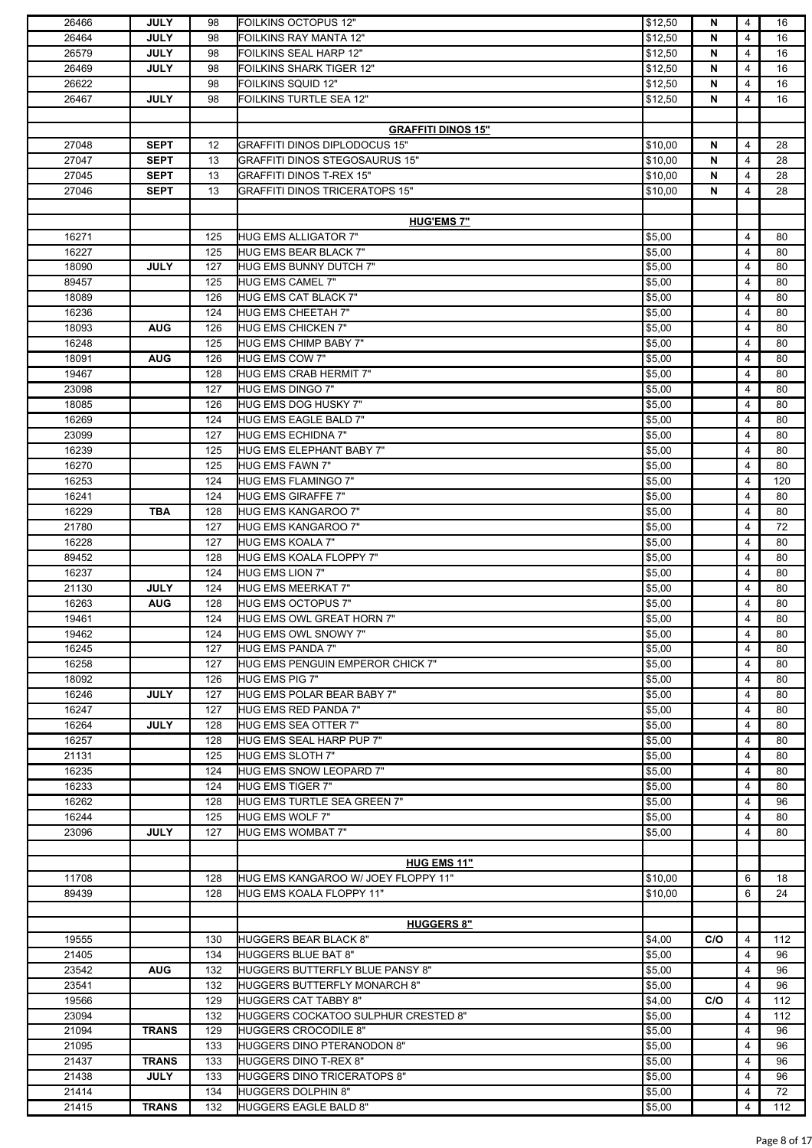| 26466 | <b>JULY</b>  | 98  | <b>FOILKINS OCTOPUS 12"</b>                | \$12,50 | N   | 4 | 16  |
|-------|--------------|-----|--------------------------------------------|---------|-----|---|-----|
| 26464 | <b>JULY</b>  | 98  | FOILKINS RAY MANTA 12"                     | \$12,50 | N   | 4 | 16  |
| 26579 | <b>JULY</b>  | 98  | FOILKINS SEAL HARP 12"                     | \$12,50 | N   | 4 | 16  |
|       |              |     |                                            |         |     |   |     |
| 26469 | <b>JULY</b>  | 98  | FOILKINS SHARK TIGER 12"                   | \$12,50 | N   | 4 | 16  |
| 26622 |              | 98  | FOILKINS SQUID 12"                         | \$12,50 | N   | 4 | 16  |
| 26467 | <b>JULY</b>  | 98  | FOILKINS TURTLE SEA 12"                    | \$12,50 | N   | 4 | 16  |
|       |              |     |                                            |         |     |   |     |
|       |              |     | <b>GRAFFITI DINOS 15"</b>                  |         |     |   |     |
| 27048 | <b>SEPT</b>  | 12  | GRAFFITI DINOS DIPLODOCUS 15"              | \$10,00 | N   | 4 | 28  |
| 27047 | <b>SEPT</b>  | 13  | <b>GRAFFITI DINOS STEGOSAURUS 15"</b>      | \$10,00 | N   | 4 | 28  |
| 27045 | <b>SEPT</b>  | 13  | <b>GRAFFITI DINOS T-REX 15"</b>            | \$10,00 | N   | 4 | 28  |
| 27046 | <b>SEPT</b>  | 13  | <b>GRAFFITI DINOS TRICERATOPS 15"</b>      | \$10,00 | N   | 4 | 28  |
|       |              |     |                                            |         |     |   |     |
|       |              |     |                                            |         |     |   |     |
|       |              |     | <b>HUG'EMS 7"</b>                          |         |     |   |     |
| 16271 |              | 125 | HUG EMS ALLIGATOR 7"                       | \$5,00  |     | 4 | 80  |
| 16227 |              | 125 | HUG EMS BEAR BLACK 7"                      | \$5,00  |     | 4 | 80  |
| 18090 | <b>JULY</b>  | 127 | HUG EMS BUNNY DUTCH 7"                     | \$5,00  |     | 4 | 80  |
| 89457 |              | 125 | HUG EMS CAMEL 7"                           | \$5,00  |     | 4 | 80  |
| 18089 |              | 126 | HUG EMS CAT BLACK 7"                       | \$5,00  |     | 4 | 80  |
| 16236 |              | 124 | <b>HUG EMS CHEETAH 7"</b>                  | \$5,00  |     | 4 | 80  |
| 18093 | <b>AUG</b>   | 126 | <b>HUG EMS CHICKEN 7"</b>                  | \$5,00  |     | 4 | 80  |
| 16248 |              | 125 | HUG EMS CHIMP BABY 7"                      | \$5,00  |     | 4 | 80  |
|       |              |     |                                            |         |     |   |     |
| 18091 | <b>AUG</b>   | 126 | HUG EMS COW 7"                             | \$5,00  |     | 4 | 80  |
| 19467 |              | 128 | HUG EMS CRAB HERMIT 7"                     | \$5,00  |     | 4 | 80  |
| 23098 |              | 127 | HUG EMS DINGO 7"                           | \$5,00  |     | 4 | 80  |
| 18085 |              | 126 | <b>HUG EMS DOG HUSKY 7"</b>                | \$5,00  |     | 4 | 80  |
| 16269 |              | 124 | HUG EMS EAGLE BALD 7"                      | \$5,00  |     | 4 | 80  |
| 23099 |              | 127 | HUG EMS ECHIDNA 7"                         | \$5,00  |     | 4 | 80  |
| 16239 |              | 125 | HUG EMS ELEPHANT BABY 7"                   | \$5,00  |     | 4 | 80  |
| 16270 |              | 125 | <b>HUG EMS FAWN 7"</b>                     | \$5,00  |     | 4 | 80  |
| 16253 |              | 124 | HUG EMS FLAMINGO 7"                        | \$5,00  |     | 4 | 120 |
|       |              |     |                                            |         |     |   |     |
| 16241 |              | 124 | <b>HUG EMS GIRAFFE 7"</b>                  | \$5,00  |     | 4 | 80  |
| 16229 | <b>TBA</b>   | 128 | <b>HUG EMS KANGAROO 7"</b>                 | \$5,00  |     | 4 | 80  |
| 21780 |              | 127 | HUG EMS KANGAROO 7"                        | \$5,00  |     | 4 | 72  |
| 16228 |              | 127 | <b>HUG EMS KOALA 7"</b>                    | \$5,00  |     | 4 | 80  |
| 89452 |              | 128 | HUG EMS KOALA FLOPPY 7"                    | \$5,00  |     | 4 | 80  |
| 16237 |              | 124 | <b>HUG EMS LION 7"</b>                     | \$5,00  |     | 4 | 80  |
| 21130 | <b>JULY</b>  | 124 | HUG EMS MEERKAT 7"                         | \$5,00  |     | 4 | 80  |
| 16263 | <b>AUG</b>   | 128 | <b>HUG EMS OCTOPUS 7"</b>                  | \$5,00  |     | 4 | 80  |
| 19461 |              | 124 | <b>HUG EMS OWL GREAT HORN 7"</b>           | \$5,00  |     | 4 | 80  |
| 19462 |              | 124 | HUG EMS OWL SNOWY 7"                       | \$5,00  |     | 4 | 80  |
|       |              |     |                                            |         |     |   |     |
| 16245 |              | 127 | <b>HUG EMS PANDA 7"</b>                    | \$5,00  |     | 4 | 80  |
| 16258 |              | 127 | <b>HUG EMS PENGUIN EMPEROR CHICK 7"</b>    | \$5,00  |     | 4 | 80  |
| 18092 |              | 126 | <b>HUG EMS PIG 7"</b>                      | \$5,00  |     | 4 | 80  |
| 16246 | <b>JULY</b>  | 127 | HUG EMS POLAR BEAR BABY 7"                 | \$5,00  |     | 4 | 80  |
| 16247 |              | 127 | HUG EMS RED PANDA 7"                       | \$5,00  |     | 4 | 80  |
| 16264 | <b>JULY</b>  | 128 | HUG EMS SEA OTTER 7"                       | \$5,00  |     | 4 | 80  |
| 16257 |              | 128 | HUG EMS SEAL HARP PUP 7"                   | \$5,00  |     | 4 | 80  |
| 21131 |              | 125 | HUG EMS SLOTH 7"                           | \$5,00  |     | 4 | 80  |
| 16235 |              | 124 | <b>HUG EMS SNOW LEOPARD 7"</b>             | \$5,00  |     | 4 | 80  |
| 16233 |              | 124 | <b>HUG EMS TIGER 7"</b>                    | \$5,00  |     | 4 | 80  |
| 16262 |              | 128 | <b>HUG EMS TURTLE SEA GREEN 7"</b>         | \$5,00  |     | 4 | 96  |
|       |              |     |                                            |         |     |   |     |
| 16244 |              | 125 | HUG EMS WOLF 7"                            | \$5,00  |     | 4 | 80  |
| 23096 | <b>JULY</b>  | 127 | <b>HUG EMS WOMBAT 7"</b>                   | \$5,00  |     | 4 | 80  |
|       |              |     |                                            |         |     |   |     |
|       |              |     | <b>HUG EMS 11"</b>                         |         |     |   |     |
| 11708 |              | 128 | HUG EMS KANGAROO W/ JOEY FLOPPY 11"        | \$10,00 |     | 6 | 18  |
| 89439 |              | 128 | <b>HUG EMS KOALA FLOPPY 11"</b>            | \$10,00 |     | 6 | 24  |
|       |              |     |                                            |         |     |   |     |
|       |              |     | <b>HUGGERS 8"</b>                          |         |     |   |     |
| 19555 |              | 130 | <b>HUGGERS BEAR BLACK 8"</b>               | \$4,00  | C/O | 4 | 112 |
| 21405 |              | 134 | <b>HUGGERS BLUE BAT 8"</b>                 | \$5,00  |     | 4 | 96  |
| 23542 | <b>AUG</b>   | 132 | HUGGERS BUTTERFLY BLUE PANSY 8"            | \$5,00  |     | 4 | 96  |
|       |              |     |                                            |         |     |   |     |
| 23541 |              | 132 | <b>HUGGERS BUTTERFLY MONARCH 8"</b>        | \$5,00  |     | 4 | 96  |
| 19566 |              | 129 | <b>HUGGERS CAT TABBY 8"</b>                | \$4,00  | C/O | 4 | 112 |
| 23094 |              | 132 | <b>HUGGERS COCKATOO SULPHUR CRESTED 8"</b> | \$5,00  |     | 4 | 112 |
| 21094 | <b>TRANS</b> | 129 | <b>HUGGERS CROCODILE 8"</b>                | \$5,00  |     | 4 | 96  |
| 21095 |              | 133 | HUGGERS DINO PTERANODON 8"                 | \$5,00  |     | 4 | 96  |
| 21437 | <b>TRANS</b> | 133 | <b>HUGGERS DINO T-REX 8"</b>               | \$5,00  |     | 4 | 96  |
| 21438 | <b>JULY</b>  | 133 | <b>HUGGERS DINO TRICERATOPS 8"</b>         | \$5,00  |     | 4 | 96  |
| 21414 |              | 134 | <b>HUGGERS DOLPHIN 8"</b>                  | \$5,00  |     | 4 | 72  |
| 21415 | <b>TRANS</b> | 132 | <b>HUGGERS EAGLE BALD 8"</b>               | \$5,00  |     | 4 | 112 |
|       |              |     |                                            |         |     |   |     |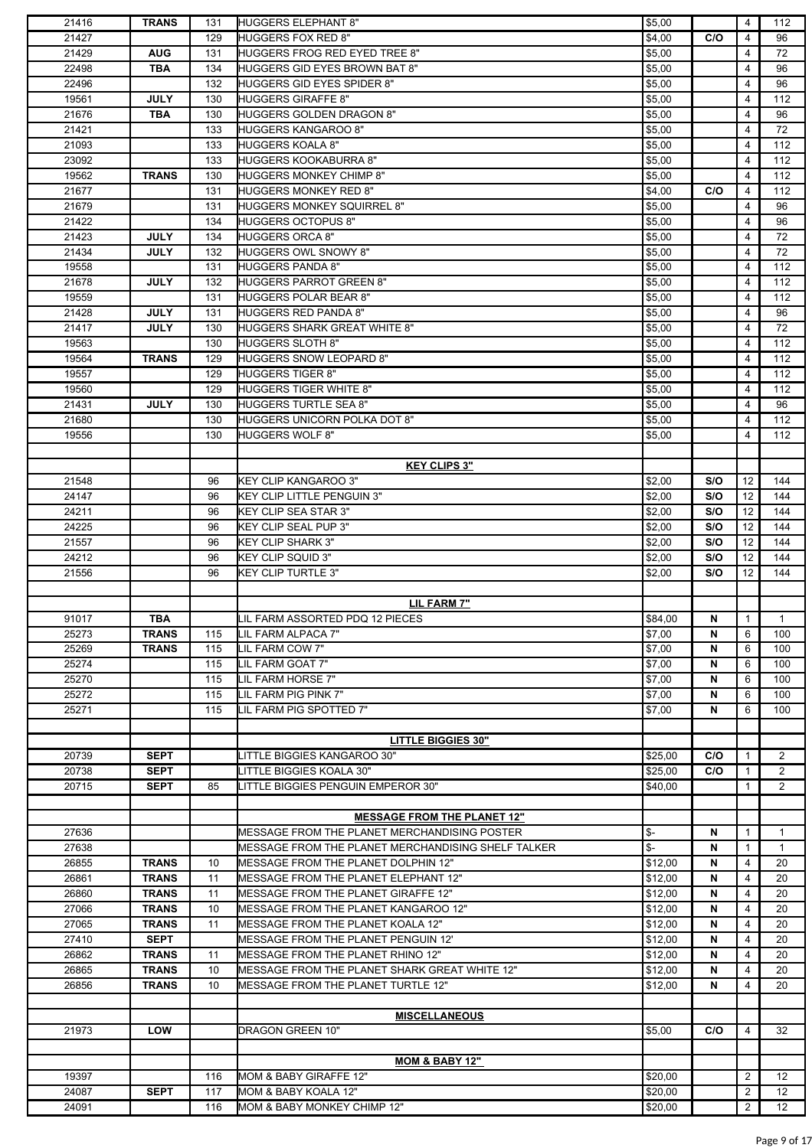| 21416 | <b>TRANS</b> | 131 | <b>HUGGERS ELEPHANT 8"</b>                         | \$5,00  |     | $\overline{4}$ | 112               |
|-------|--------------|-----|----------------------------------------------------|---------|-----|----------------|-------------------|
| 21427 |              | 129 | <b>HUGGERS FOX RED 8"</b>                          | \$4,00  | C/O | 4              | 96                |
| 21429 | <b>AUG</b>   | 131 | HUGGERS FROG RED EYED TREE 8"                      | \$5,00  |     | 4              | 72                |
| 22498 | <b>TBA</b>   | 134 | <b>HUGGERS GID EYES BROWN BAT 8"</b>               | \$5,00  |     | 4              | 96                |
|       |              |     |                                                    |         |     |                |                   |
| 22496 |              | 132 | <b>HUGGERS GID EYES SPIDER 8"</b>                  | \$5,00  |     | 4              | 96                |
| 19561 | <b>JULY</b>  | 130 | <b>HUGGERS GIRAFFE 8"</b>                          | \$5,00  |     | 4              | 112               |
| 21676 | TBA          | 130 | <b>HUGGERS GOLDEN DRAGON 8"</b>                    | \$5,00  |     | 4              | 96                |
| 21421 |              | 133 | <b>HUGGERS KANGAROO 8"</b>                         | \$5,00  |     | 4              | 72                |
| 21093 |              | 133 | <b>HUGGERS KOALA 8"</b>                            | \$5,00  |     | 4              | 112               |
| 23092 |              | 133 | <b>HUGGERS KOOKABURRA 8"</b>                       | \$5,00  |     | 4              | 112               |
| 19562 | <b>TRANS</b> | 130 | <b>HUGGERS MONKEY CHIMP 8"</b>                     | \$5,00  |     | 4              | 112               |
| 21677 |              | 131 | <b>HUGGERS MONKEY RED 8"</b>                       | \$4,00  | C/O | 4              | 112               |
|       |              |     |                                                    |         |     |                |                   |
| 21679 |              | 131 | <b>HUGGERS MONKEY SQUIRREL 8"</b>                  | \$5,00  |     | $\overline{4}$ | 96                |
| 21422 |              | 134 | <b>HUGGERS OCTOPUS 8"</b>                          | \$5,00  |     | 4              | 96                |
| 21423 | <b>JULY</b>  | 134 | <b>HUGGERS ORCA 8"</b>                             | \$5,00  |     | 4              | 72                |
| 21434 | <b>JULY</b>  | 132 | HUGGERS OWL SNOWY 8"                               | \$5,00  |     | $\overline{4}$ | 72                |
| 19558 |              | 131 | <b>HUGGERS PANDA 8"</b>                            | \$5,00  |     | 4              | 112               |
| 21678 | <b>JULY</b>  | 132 | <b>HUGGERS PARROT GREEN 8"</b>                     | \$5,00  |     | 4              | 112               |
| 19559 |              | 131 | <b>HUGGERS POLAR BEAR 8"</b>                       | \$5,00  |     | 4              | 112               |
| 21428 | <b>JULY</b>  | 131 | HUGGERS RED PANDA 8"                               | \$5,00  |     | 4              | 96                |
| 21417 | <b>JULY</b>  |     | <b>HUGGERS SHARK GREAT WHITE 8"</b>                | \$5,00  |     | $\overline{4}$ | 72                |
|       |              | 130 |                                                    |         |     |                |                   |
| 19563 |              | 130 | <b>HUGGERS SLOTH 8"</b>                            | \$5,00  |     | 4              | 112               |
| 19564 | <b>TRANS</b> | 129 | <b>HUGGERS SNOW LEOPARD 8"</b>                     | \$5,00  |     | 4              | 112               |
| 19557 |              | 129 | <b>HUGGERS TIGER 8"</b>                            | \$5,00  |     | 4              | 112               |
| 19560 |              | 129 | <b>HUGGERS TIGER WHITE 8"</b>                      | \$5,00  |     | 4              | 112               |
| 21431 | <b>JULY</b>  | 130 | <b>HUGGERS TURTLE SEA 8"</b>                       | \$5,00  |     | 4              | 96                |
| 21680 |              | 130 | <b>HUGGERS UNICORN POLKA DOT 8"</b>                | \$5,00  |     | 4              | 112               |
| 19556 |              | 130 | <b>HUGGERS WOLF 8"</b>                             | \$5,00  |     | 4              | 112               |
|       |              |     |                                                    |         |     |                |                   |
|       |              |     |                                                    |         |     |                |                   |
|       |              |     | <b>KEY CLIPS 3"</b>                                |         |     |                |                   |
| 21548 |              | 96  | <b>KEY CLIP KANGAROO 3"</b>                        | \$2,00  | S/O | 12             | 144               |
| 24147 |              | 96  | <b>KEY CLIP LITTLE PENGUIN 3"</b>                  | \$2,00  | S/O | 12             | 144               |
| 24211 |              | 96  | <b>KEY CLIP SEA STAR 3"</b>                        | \$2,00  | S/O | 12             | 144               |
| 24225 |              | 96  | <b>KEY CLIP SEAL PUP 3"</b>                        | \$2,00  | S/O | 12             | 144               |
| 21557 |              | 96  | <b>KEY CLIP SHARK 3"</b>                           | \$2,00  | S/O | 12             | 144               |
| 24212 |              | 96  | <b>KEY CLIP SQUID 3"</b>                           | \$2,00  | S/O | 12             | 144               |
| 21556 |              | 96  | <b>KEY CLIP TURTLE 3"</b>                          | \$2,00  | S/O | 12             | 144               |
|       |              |     |                                                    |         |     |                |                   |
|       |              |     |                                                    |         |     |                |                   |
|       |              |     |                                                    |         |     |                |                   |
|       |              |     | LIL FARM 7"                                        |         |     |                |                   |
| 91017 | TBA          |     | LIL FARM ASSORTED PDQ 12 PIECES                    | \$84,00 | N   | $\mathbf{1}$   | $\mathbf{1}$      |
| 25273 | <b>TRANS</b> | 115 | LIL FARM ALPACA 7"                                 | \$7,00  | N   | 6              | 100               |
| 25269 | <b>TRANS</b> | 115 | LIL FARM COW 7"                                    | \$7,00  | N   | 6              | 100               |
| 25274 |              | 115 | LIL FARM GOAT 7"                                   | \$7,00  | N   | 6              | 100               |
| 25270 |              | 115 | LIL FARM HORSE 7"                                  | \$7,00  | N   | 6              | 100               |
|       |              |     |                                                    |         | N   | 6              | 100               |
| 25272 |              | 115 | LIL FARM PIG PINK 7"                               | \$7,00  |     |                |                   |
| 25271 |              | 115 | LIL FARM PIG SPOTTED 7"                            | \$7,00  | N   | 6              | 100               |
|       |              |     |                                                    |         |     |                |                   |
|       |              |     | <b>LITTLE BIGGIES 30"</b>                          |         |     |                |                   |
| 20739 | <b>SEPT</b>  |     | LITTLE BIGGIES KANGAROO 30"                        | \$25,00 | C/O | $\mathbf{1}$   | $\overline{2}$    |
| 20738 | <b>SEPT</b>  |     | LITTLE BIGGIES KOALA 30"                           | \$25,00 | C/O | 1              | $\overline{2}$    |
| 20715 | <b>SEPT</b>  | 85  | LITTLE BIGGIES PENGUIN EMPEROR 30"                 | \$40,00 |     | 1              | $\overline{2}$    |
|       |              |     |                                                    |         |     |                |                   |
|       |              |     | <b>MESSAGE FROM THE PLANET 12"</b>                 |         |     |                |                   |
| 27636 |              |     | MESSAGE FROM THE PLANET MERCHANDISING POSTER       | \$-     | N   | $\mathbf{1}$   | 1                 |
| 27638 |              |     | MESSAGE FROM THE PLANET MERCHANDISING SHELF TALKER | $S-$    | N   | 1              | $\mathbf{1}$      |
|       |              | 10  |                                                    |         | N   | 4              | 20                |
| 26855 | <b>TRANS</b> |     | <b>MESSAGE FROM THE PLANET DOLPHIN 12"</b>         | \$12,00 |     |                |                   |
| 26861 | <b>TRANS</b> | 11  | <b>MESSAGE FROM THE PLANET ELEPHANT 12"</b>        | \$12,00 | N   | 4              | 20                |
| 26860 | <b>TRANS</b> | 11  | <b>MESSAGE FROM THE PLANET GIRAFFE 12"</b>         | \$12,00 | N   | $\overline{4}$ | 20                |
| 27066 | <b>TRANS</b> | 10  | MESSAGE FROM THE PLANET KANGAROO 12"               | \$12,00 | N   | 4              | 20                |
| 27065 | <b>TRANS</b> | 11  | <b>MESSAGE FROM THE PLANET KOALA 12"</b>           | \$12,00 | N   | 4              | 20                |
| 27410 | <b>SEPT</b>  |     | MESSAGE FROM THE PLANET PENGUIN 12'                | \$12,00 | N   | 4              | 20                |
| 26862 | <b>TRANS</b> | 11  | <b>MESSAGE FROM THE PLANET RHINO 12"</b>           | \$12,00 | N   | 4              | 20                |
| 26865 | <b>TRANS</b> | 10  | MESSAGE FROM THE PLANET SHARK GREAT WHITE 12"      | \$12,00 | N   | 4              | 20                |
| 26856 | <b>TRANS</b> | 10  | <b>MESSAGE FROM THE PLANET TURTLE 12"</b>          | \$12,00 | N   | 4              | 20                |
|       |              |     |                                                    |         |     |                |                   |
|       |              |     |                                                    |         |     |                |                   |
|       |              |     | <b>MISCELLANEOUS</b>                               |         |     |                |                   |
| 21973 | <b>LOW</b>   |     | DRAGON GREEN 10"                                   | \$5,00  | C/O | 4              | 32                |
|       |              |     |                                                    |         |     |                |                   |
|       |              |     | <b>MOM &amp; BABY 12"</b>                          |         |     |                |                   |
| 19397 |              | 116 | MOM & BABY GIRAFFE 12"                             | \$20,00 |     | $\overline{2}$ | $12 \overline{ }$ |
| 24087 | <b>SEPT</b>  | 117 | MOM & BABY KOALA 12"                               | \$20,00 |     | 2              | 12                |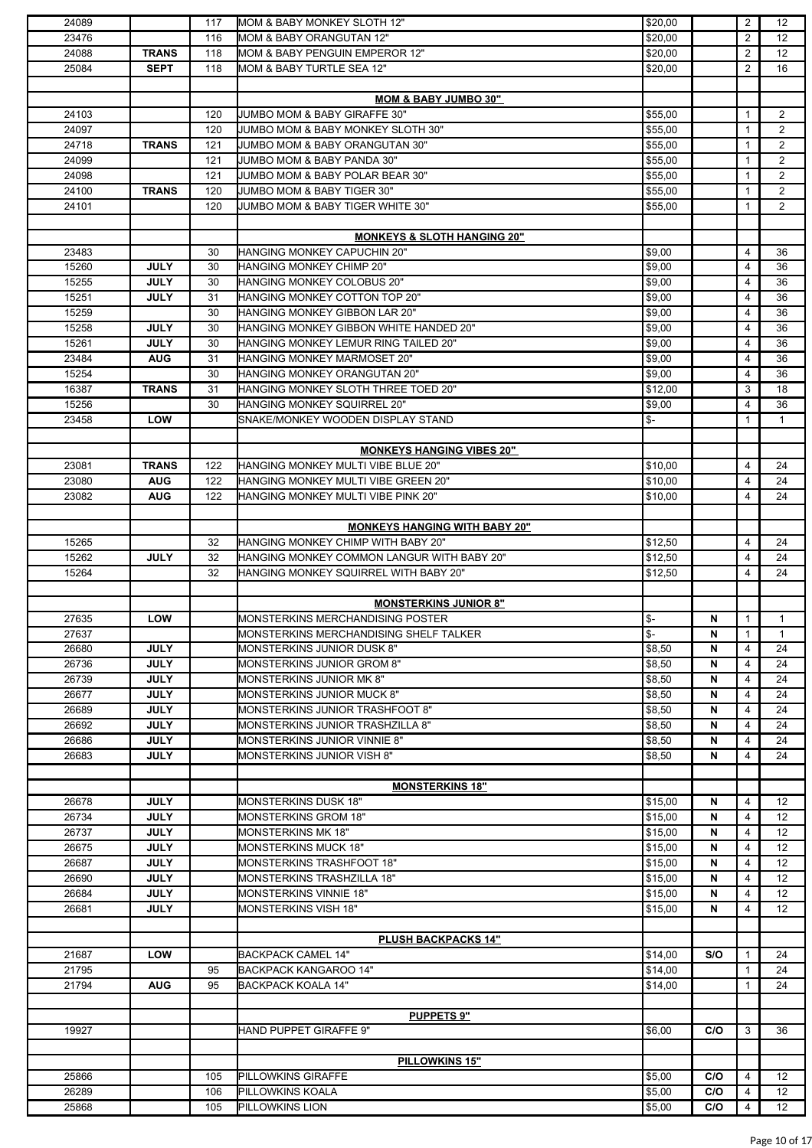| 24089 |              | 117 | <b>MOM &amp; BABY MONKEY SLOTH 12"</b>     | \$20,00          |     | $\overline{2}$ | 12              |
|-------|--------------|-----|--------------------------------------------|------------------|-----|----------------|-----------------|
| 23476 |              | 116 | <b>MOM &amp; BABY ORANGUTAN 12"</b>        | \$20,00          |     | $\overline{2}$ | 12              |
| 24088 | <b>TRANS</b> | 118 | MOM & BABY PENGUIN EMPEROR 12"             | \$20,00          |     | $\overline{2}$ | 12              |
| 25084 | <b>SEPT</b>  | 118 | MOM & BABY TURTLE SEA 12"                  | \$20,00          |     | $\overline{2}$ | 16              |
|       |              |     |                                            |                  |     |                |                 |
|       |              |     | <b>MOM &amp; BABY JUMBO 30"</b>            |                  |     |                |                 |
| 24103 |              | 120 | JUMBO MOM & BABY GIRAFFE 30"               | \$55,00          |     | 1              | $\overline{2}$  |
| 24097 |              | 120 | JUMBO MOM & BABY MONKEY SLOTH 30"          | \$55,00          |     | 1              | $\overline{2}$  |
| 24718 | <b>TRANS</b> | 121 | JUMBO MOM & BABY ORANGUTAN 30"             | \$55,00          |     | $\mathbf{1}$   | $\overline{2}$  |
| 24099 |              | 121 | JUMBO MOM & BABY PANDA 30"                 | \$55,00          |     | $\mathbf{1}$   | $\overline{2}$  |
|       |              | 121 |                                            |                  |     |                | $\overline{2}$  |
| 24098 |              |     | JUMBO MOM & BABY POLAR BEAR 30"            | \$55,00          |     | 1              |                 |
| 24100 | <b>TRANS</b> | 120 | JUMBO MOM & BABY TIGER 30"                 | \$55,00          |     | 1              | $\overline{2}$  |
| 24101 |              | 120 | JUMBO MOM & BABY TIGER WHITE 30"           | \$55,00          |     | 1              | $\overline{2}$  |
|       |              |     |                                            |                  |     |                |                 |
|       |              |     | <b>MONKEYS &amp; SLOTH HANGING 20"</b>     |                  |     |                |                 |
| 23483 |              | 30  | HANGING MONKEY CAPUCHIN 20"                | \$9,00           |     | 4              | 36              |
| 15260 | <b>JULY</b>  | 30  | HANGING MONKEY CHIMP 20"                   | \$9,00           |     | 4              | 36              |
| 15255 | <b>JULY</b>  | 30  | HANGING MONKEY COLOBUS 20"                 | \$9,00           |     | 4              | 36              |
| 15251 | <b>JULY</b>  | 31  | HANGING MONKEY COTTON TOP 20"              | \$9,00           |     | 4              | 36              |
| 15259 |              | 30  | HANGING MONKEY GIBBON LAR 20"              | \$9,00           |     | 4              | 36              |
| 15258 | <b>JULY</b>  | 30  | HANGING MONKEY GIBBON WHITE HANDED 20"     | \$9,00           |     | 4              | 36              |
| 15261 | <b>JULY</b>  | 30  | HANGING MONKEY LEMUR RING TAILED 20"       | \$9,00           |     | 4              | 36              |
| 23484 | <b>AUG</b>   | 31  | HANGING MONKEY MARMOSET 20"                | \$9,00           |     | 4              | 36              |
| 15254 |              | 30  | HANGING MONKEY ORANGUTAN 20"               | \$9,00           |     | 4              | 36              |
| 16387 | <b>TRANS</b> | 31  | HANGING MONKEY SLOTH THREE TOED 20"        | \$12,00          |     | 3              | 18              |
|       |              |     |                                            |                  |     |                |                 |
| 15256 |              | 30  | HANGING MONKEY SQUIRREL 20"                | \$9,00           |     | 4              | 36              |
| 23458 | <b>LOW</b>   |     | SNAKE/MONKEY WOODEN DISPLAY STAND          | $\mathsf{S}$ -   |     | $\mathbf{1}$   | $\mathbf{1}$    |
|       |              |     |                                            |                  |     |                |                 |
|       |              |     | <b>MONKEYS HANGING VIBES 20"</b>           |                  |     |                |                 |
| 23081 | <b>TRANS</b> | 122 | HANGING MONKEY MULTI VIBE BLUE 20"         | \$10,00          |     | 4              | 24              |
| 23080 | <b>AUG</b>   | 122 | HANGING MONKEY MULTI VIBE GREEN 20"        | \$10,00          |     | 4              | 24              |
| 23082 | <b>AUG</b>   | 122 | HANGING MONKEY MULTI VIBE PINK 20"         | \$10,00          |     | 4              | 24              |
|       |              |     |                                            |                  |     |                |                 |
|       |              |     | <b>MONKEYS HANGING WITH BABY 20"</b>       |                  |     |                |                 |
| 15265 |              | 32  | HANGING MONKEY CHIMP WITH BABY 20"         | \$12,50          |     | 4              | 24              |
| 15262 | <b>JULY</b>  | 32  | HANGING MONKEY COMMON LANGUR WITH BABY 20" | \$12,50          |     | 4              | 24              |
| 15264 |              | 32  | HANGING MONKEY SQUIRREL WITH BABY 20"      | \$12,50          |     | 4              | 24              |
|       |              |     |                                            |                  |     |                |                 |
|       |              |     | <b>MONSTERKINS JUNIOR 8"</b>               |                  |     |                |                 |
|       |              |     |                                            |                  |     |                |                 |
| 27635 | LOW          |     | MONSTERKINS MERCHANDISING POSTER           | $\frac{2}{3}$    | N   | $\mathbf{1}$   | $\mathbf{1}$    |
| 27637 |              |     | MONSTERKINS MERCHANDISING SHELF TALKER     | ∣\$-             | N   | 1              | $\mathbf{1}$    |
| 26680 | <b>JULY</b>  |     | <b>MONSTERKINS JUNIOR DUSK 8"</b>          | \$8,50           | N   | 4              | 24              |
| 26736 | <b>JULY</b>  |     | <b>MONSTERKINS JUNIOR GROM 8"</b>          | \$8,50           | N   | 4              | 24              |
| 26739 | <b>JULY</b>  |     | <b>MONSTERKINS JUNIOR MK 8"</b>            | \$8,50           | N   | 4              | 24              |
| 26677 | <b>JULY</b>  |     | <b>MONSTERKINS JUNIOR MUCK 8"</b>          | \$8,50           | N   | 4              | 24              |
| 26689 | <b>JULY</b>  |     | <b>MONSTERKINS JUNIOR TRASHFOOT 8"</b>     | \$8,50           | N   | 4              | 24              |
| 26692 | <b>JULY</b>  |     | MONSTERKINS JUNIOR TRASHZILLA 8"           | \$8,50           | N   | 4              | 24              |
| 26686 | <b>JULY</b>  |     | <b>MONSTERKINS JUNIOR VINNIE 8"</b>        | \$8,50           | N   | 4              | 24              |
| 26683 | <b>JULY</b>  |     | <b>MONSTERKINS JUNIOR VISH 8"</b>          | \$8,50           | N   | 4              | 24              |
|       |              |     |                                            |                  |     |                |                 |
|       |              |     | <b>MONSTERKINS 18"</b>                     |                  |     |                |                 |
| 26678 | <b>JULY</b>  |     | <b>MONSTERKINS DUSK 18"</b>                | \$15,00          | N   | $\overline{4}$ | 12 <sup>°</sup> |
| 26734 | <b>JULY</b>  |     | MONSTERKINS GROM 18"                       | \$15,00          | N   | 4              | 12              |
| 26737 |              |     | <b>MONSTERKINS MK 18"</b>                  |                  | N   |                |                 |
|       |              |     |                                            |                  |     | 4              | 12              |
|       | <b>JULY</b>  |     |                                            | \$15,00          |     |                | 12              |
| 26675 | <b>JULY</b>  |     | <b>MONSTERKINS MUCK 18"</b>                | \$15,00          | N   | 4              |                 |
| 26687 | <b>JULY</b>  |     | <b>MONSTERKINS TRASHFOOT 18"</b>           | \$15,00          | N   | 4              | 12 <sup>2</sup> |
| 26690 | <b>JULY</b>  |     | <b>MONSTERKINS TRASHZILLA 18"</b>          | \$15,00          | N   | 4              | 12              |
| 26684 | <b>JULY</b>  |     | <b>MONSTERKINS VINNIE 18"</b>              | \$15,00          | N   | 4              | 12 <sup>°</sup> |
| 26681 | <b>JULY</b>  |     | <b>MONSTERKINS VISH 18"</b>                | \$15,00          | N   | 4              | 12 <sup>°</sup> |
|       |              |     |                                            |                  |     |                |                 |
|       |              |     | <b>PLUSH BACKPACKS 14"</b>                 |                  |     |                |                 |
| 21687 | LOW          |     | <b>BACKPACK CAMEL 14"</b>                  | \$14,00          | S/O | $\mathbf{1}$   | 24              |
|       |              |     |                                            |                  |     | $\mathbf{1}$   |                 |
| 21795 |              | 95  | <b>BACKPACK KANGAROO 14"</b>               | \$14,00          |     | 1              | 24              |
| 21794 | <b>AUG</b>   | 95  | <b>BACKPACK KOALA 14"</b>                  | \$14,00          |     |                | 24              |
|       |              |     |                                            |                  |     |                |                 |
|       |              |     | <b>PUPPETS 9"</b>                          |                  |     |                |                 |
| 19927 |              |     | HAND PUPPET GIRAFFE 9"                     | \$6,00           | C/O | 3              | 36              |
|       |              |     |                                            |                  |     |                |                 |
|       |              |     | PILLOWKINS 15"                             |                  |     |                |                 |
| 25866 |              | 105 | PILLOWKINS GIRAFFE                         | \$5,00           | C/O | 4              | 12              |
| 26289 |              | 106 | PILLOWKINS KOALA                           | \$5,00<br>\$5,00 | C/O | 4              | 12<br>12        |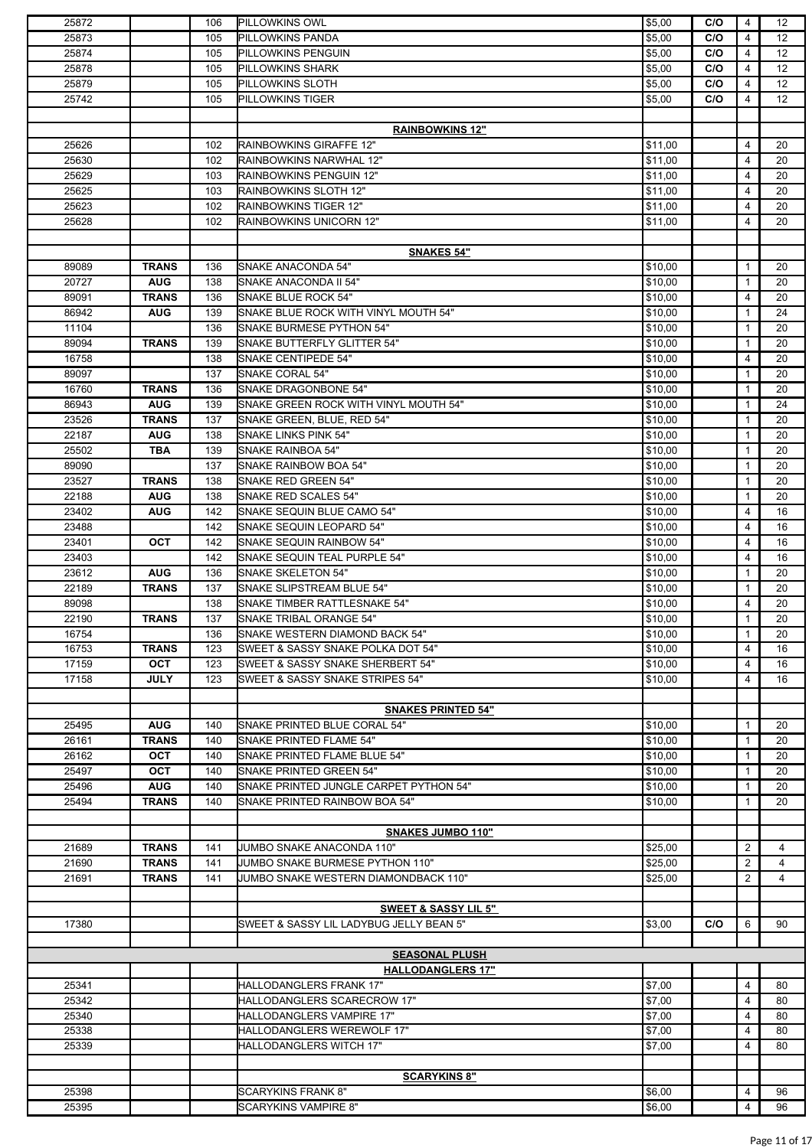| 25872 |              | 106 | <b>PILLOWKINS OWL</b>                   | \$5,00  | C/O | $\overline{4}$ | 12             |
|-------|--------------|-----|-----------------------------------------|---------|-----|----------------|----------------|
| 25873 |              | 105 | PILLOWKINS PANDA                        | \$5,00  | C/O | 4              | 12             |
| 25874 |              | 105 | PILLOWKINS PENGUIN                      | \$5,00  | C/O | 4              | 12             |
|       |              |     |                                         |         |     |                |                |
| 25878 |              | 105 | PILLOWKINS SHARK                        | \$5,00  | C/O | 4              | 12             |
| 25879 |              | 105 | PILLOWKINS SLOTH                        | \$5,00  | C/O | 4              | 12             |
| 25742 |              | 105 | PILLOWKINS TIGER                        | \$5,00  | C/O | 4              | 12             |
|       |              |     |                                         |         |     |                |                |
|       |              |     | <b>RAINBOWKINS 12"</b>                  |         |     |                |                |
| 25626 |              | 102 | <b>RAINBOWKINS GIRAFFE 12"</b>          | \$11,00 |     | 4              | 20             |
| 25630 |              | 102 | RAINBOWKINS NARWHAL 12"                 |         |     |                | 20             |
|       |              |     |                                         | \$11,00 |     | 4              |                |
| 25629 |              | 103 | RAINBOWKINS PENGUIN 12"                 | \$11,00 |     | 4              | 20             |
| 25625 |              | 103 | RAINBOWKINS SLOTH 12"                   | \$11,00 |     | 4              | 20             |
| 25623 |              | 102 | RAINBOWKINS TIGER 12"                   | \$11,00 |     | 4              | 20             |
| 25628 |              | 102 | RAINBOWKINS UNICORN 12"                 | \$11,00 |     | 4              | 20             |
|       |              |     |                                         |         |     |                |                |
|       |              |     | <b>SNAKES 54"</b>                       |         |     |                |                |
|       |              |     |                                         |         |     |                |                |
| 89089 | <b>TRANS</b> | 136 | SNAKE ANACONDA 54"                      | \$10,00 |     | 1              | 20             |
| 20727 | <b>AUG</b>   | 138 | SNAKE ANACONDA II 54"                   | \$10,00 |     | $\mathbf{1}$   | 20             |
| 89091 | <b>TRANS</b> | 136 | <b>SNAKE BLUE ROCK 54"</b>              | \$10,00 |     | 4              | 20             |
| 86942 | <b>AUG</b>   | 139 | SNAKE BLUE ROCK WITH VINYL MOUTH 54"    | \$10,00 |     | $\mathbf{1}$   | 24             |
| 11104 |              | 136 | SNAKE BURMESE PYTHON 54"                | \$10,00 |     | $\mathbf{1}$   | 20             |
|       |              |     |                                         |         |     |                |                |
| 89094 | <b>TRANS</b> | 139 | SNAKE BUTTERFLY GLITTER 54"             | \$10,00 |     | $\mathbf{1}$   | 20             |
| 16758 |              | 138 | SNAKE CENTIPEDE 54"                     | \$10,00 |     | 4              | 20             |
| 89097 |              | 137 | <b>SNAKE CORAL 54"</b>                  | \$10,00 |     | 1              | 20             |
| 16760 | <b>TRANS</b> | 136 | SNAKE DRAGONBONE 54"                    | \$10,00 |     | $\mathbf{1}$   | 20             |
| 86943 | <b>AUG</b>   | 139 | SNAKE GREEN ROCK WITH VINYL MOUTH 54"   | \$10,00 |     | $\mathbf{1}$   | 24             |
| 23526 | <b>TRANS</b> | 137 | SNAKE GREEN, BLUE, RED 54"              | \$10,00 |     | $\mathbf{1}$   | 20             |
|       |              |     |                                         |         |     |                |                |
| 22187 | <b>AUG</b>   | 138 | <b>SNAKE LINKS PINK 54"</b>             | \$10,00 |     | $\mathbf{1}$   | 20             |
| 25502 | <b>TBA</b>   | 139 | <b>SNAKE RAINBOA 54"</b>                | \$10,00 |     | $\mathbf{1}$   | 20             |
| 89090 |              | 137 | SNAKE RAINBOW BOA 54"                   | \$10,00 |     | $\mathbf{1}$   | 20             |
| 23527 | <b>TRANS</b> | 138 | SNAKE RED GREEN 54"                     | \$10,00 |     | $\mathbf{1}$   | 20             |
| 22188 | <b>AUG</b>   | 138 | <b>SNAKE RED SCALES 54"</b>             | \$10,00 |     | $\mathbf{1}$   | 20             |
| 23402 | <b>AUG</b>   | 142 | SNAKE SEQUIN BLUE CAMO 54"              | \$10,00 |     | 4              | 16             |
|       |              |     |                                         |         |     |                |                |
| 23488 |              | 142 | SNAKE SEQUIN LEOPARD 54"                | \$10,00 |     | 4              | 16             |
| 23401 | <b>OCT</b>   | 142 | <b>SNAKE SEQUIN RAINBOW 54"</b>         | \$10,00 |     | 4              | 16             |
| 23403 |              | 142 | SNAKE SEQUIN TEAL PURPLE 54"            | \$10,00 |     | 4              | 16             |
| 23612 | <b>AUG</b>   | 136 | <b>SNAKE SKELETON 54"</b>               | \$10,00 |     | $\mathbf{1}$   | 20             |
| 22189 | <b>TRANS</b> | 137 | SNAKE SLIPSTREAM BLUE 54"               | \$10,00 |     | 1              | 20             |
|       |              |     |                                         |         |     |                |                |
| 89098 |              | 138 | SNAKE TIMBER RATTLESNAKE 54"            | \$10,00 |     | 4              | 20             |
| 22190 | <b>TRANS</b> | 137 | SNAKE TRIBAL ORANGE 54"                 | \$10,00 |     | $\mathbf{1}$   | 20             |
| 16754 |              | 136 | SNAKE WESTERN DIAMOND BACK 54"          | \$10,00 |     | $\mathbf{1}$   | 20             |
| 16753 | <b>TRANS</b> | 123 | SWEET & SASSY SNAKE POLKA DOT 54"       | \$10,00 |     | 4              | 16             |
| 17159 | <b>OCT</b>   | 123 | SWEET & SASSY SNAKE SHERBERT 54"        | \$10,00 |     | 4              | 16             |
| 17158 | <b>JULY</b>  | 123 | SWEET & SASSY SNAKE STRIPES 54"         | \$10,00 |     | 4              | 16             |
|       |              |     |                                         |         |     |                |                |
|       |              |     |                                         |         |     |                |                |
|       |              |     | <b>SNAKES PRINTED 54"</b>               |         |     |                |                |
| 25495 | <b>AUG</b>   | 140 | SNAKE PRINTED BLUE CORAL 54"            | \$10,00 |     | 1              | 20             |
| 26161 | <b>TRANS</b> | 140 | SNAKE PRINTED FLAME 54"                 | \$10,00 |     | $\mathbf{1}$   | 20             |
| 26162 | <b>OCT</b>   | 140 | SNAKE PRINTED FLAME BLUE 54"            | \$10.00 |     | $\mathbf{1}$   | 20             |
| 25497 | <b>OCT</b>   | 140 | <b>SNAKE PRINTED GREEN 54"</b>          | \$10,00 |     | $\mathbf{1}$   | 20             |
|       |              |     |                                         |         |     |                |                |
| 25496 | <b>AUG</b>   | 140 | SNAKE PRINTED JUNGLE CARPET PYTHON 54"  | \$10,00 |     | $\mathbf{1}$   | 20             |
| 25494 | <b>TRANS</b> | 140 | SNAKE PRINTED RAINBOW BOA 54"           | \$10,00 |     | $\mathbf{1}$   | 20             |
|       |              |     |                                         |         |     |                |                |
|       |              |     | <b>SNAKES JUMBO 110"</b>                |         |     |                |                |
| 21689 | <b>TRANS</b> | 141 | JUMBO SNAKE ANACONDA 110"               | \$25,00 |     | 2              | 4              |
| 21690 | <b>TRANS</b> | 141 | JUMBO SNAKE BURMESE PYTHON 110"         | \$25,00 |     | 2              | 4              |
|       |              |     |                                         |         |     |                |                |
| 21691 | <b>TRANS</b> | 141 | JUMBO SNAKE WESTERN DIAMONDBACK 110"    | \$25,00 |     | 2              | $\overline{4}$ |
|       |              |     |                                         |         |     |                |                |
|       |              |     | SWEET & SASSY LIL 5"                    |         |     |                |                |
| 17380 |              |     | SWEET & SASSY LIL LADYBUG JELLY BEAN 5" | \$3,00  | C/O | 6              | 90             |
|       |              |     |                                         |         |     |                |                |
|       |              |     | <b>SEASONAL PLUSH</b>                   |         |     |                |                |
|       |              |     |                                         |         |     |                |                |
|       |              |     | <b>HALLODANGLERS 17"</b>                |         |     |                |                |
| 25341 |              |     | HALLODANGLERS FRANK 17"                 | \$7,00  |     | 4              | 80             |
| 25342 |              |     | HALLODANGLERS SCARECROW 17"             | \$7,00  |     | 4              | 80             |
| 25340 |              |     | HALLODANGLERS VAMPIRE 17"               | \$7,00  |     | 4              | 80             |
| 25338 |              |     | HALLODANGLERS WEREWOLF 17"              | \$7,00  |     | 4              | 80             |
| 25339 |              |     | HALLODANGLERS WITCH 17"                 |         |     | 4              | 80             |
|       |              |     |                                         | \$7,00  |     |                |                |
|       |              |     |                                         |         |     |                |                |
|       |              |     | <b>SCARYKINS 8"</b>                     |         |     |                |                |
| 25398 |              |     | <b>SCARYKINS FRANK 8"</b>               | \$6,00  |     | 4              | 96             |
| 25395 |              |     | <b>SCARYKINS VAMPIRE 8"</b>             | \$6,00  |     | 4              | 96             |
|       |              |     |                                         |         |     |                |                |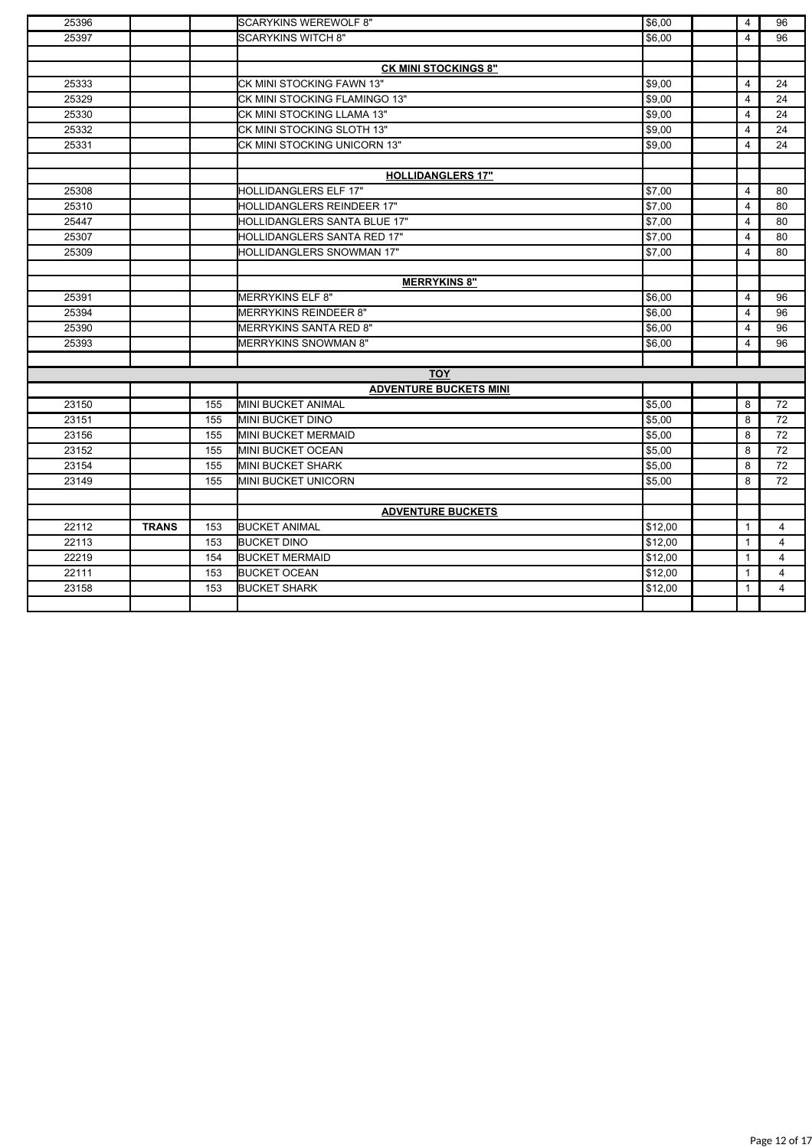| 25396 |              |     | <b>SCARYKINS WEREWOLF 8"</b>     | \$6,00  | 4              | 96             |
|-------|--------------|-----|----------------------------------|---------|----------------|----------------|
| 25397 |              |     | <b>SCARYKINS WITCH 8"</b>        | \$6,00  | 4              | 96             |
|       |              |     |                                  |         |                |                |
|       |              |     | <b>CK MINI STOCKINGS 8"</b>      |         |                |                |
| 25333 |              |     | CK MINI STOCKING FAWN 13"        | \$9,00  | 4              | 24             |
| 25329 |              |     | CK MINI STOCKING FLAMINGO 13"    | \$9,00  | $\overline{4}$ | 24             |
| 25330 |              |     | CK MINI STOCKING LLAMA 13"       | \$9,00  | $\overline{4}$ | 24             |
| 25332 |              |     | CK MINI STOCKING SLOTH 13"       | \$9,00  | $\overline{4}$ | 24             |
| 25331 |              |     | CK MINI STOCKING UNICORN 13"     | \$9,00  | 4              | 24             |
|       |              |     |                                  |         |                |                |
|       |              |     | <b>HOLLIDANGLERS 17"</b>         |         |                |                |
| 25308 |              |     | <b>HOLLIDANGLERS ELF 17"</b>     | \$7,00  | 4              | 80             |
| 25310 |              |     | HOLLIDANGLERS REINDEER 17"       | \$7,00  | $\overline{4}$ | 80             |
| 25447 |              |     | HOLLIDANGLERS SANTA BLUE 17"     | \$7,00  | $\overline{4}$ | 80             |
| 25307 |              |     | HOLLIDANGLERS SANTA RED 17"      | \$7,00  | 4              | 80             |
| 25309 |              |     | <b>HOLLIDANGLERS SNOWMAN 17"</b> | \$7,00  | 4              | 80             |
|       |              |     |                                  |         |                |                |
|       |              |     | <b>MERRYKINS 8"</b>              |         |                |                |
| 25391 |              |     | <b>MERRYKINS ELF 8"</b>          | \$6,00  | $\overline{4}$ | 96             |
| 25394 |              |     | MERRYKINS REINDEER 8"            | \$6,00  | 4              | 96             |
| 25390 |              |     | <b>MERRYKINS SANTA RED 8"</b>    | \$6,00  | 4              | 96             |
| 25393 |              |     | <b>MERRYKINS SNOWMAN 8"</b>      | \$6,00  | 4              | 96             |
|       |              |     |                                  |         |                |                |
|       |              |     | <b>TOY</b>                       |         |                |                |
|       |              |     | <b>ADVENTURE BUCKETS MINI</b>    |         |                |                |
| 23150 |              | 155 | MINI BUCKET ANIMAL               | \$5,00  | 8              | 72             |
| 23151 |              | 155 | <b>MINI BUCKET DINO</b>          | \$5,00  | 8              | 72             |
| 23156 |              | 155 | <b>MINI BUCKET MERMAID</b>       | \$5,00  | 8              | 72             |
| 23152 |              | 155 | MINI BUCKET OCEAN                | \$5,00  | 8              | 72             |
| 23154 |              | 155 | <b>MINI BUCKET SHARK</b>         | \$5,00  | 8              | 72             |
| 23149 |              | 155 | <b>MINI BUCKET UNICORN</b>       | \$5,00  | 8              | 72             |
|       |              |     |                                  |         |                |                |
|       |              |     | <b>ADVENTURE BUCKETS</b>         |         |                |                |
| 22112 | <b>TRANS</b> | 153 | <b>BUCKET ANIMAL</b>             | \$12,00 | $\mathbf{1}$   | 4              |
| 22113 |              | 153 | <b>BUCKET DINO</b>               | \$12,00 | $\mathbf{1}$   | $\overline{4}$ |
| 22219 |              | 154 | <b>BUCKET MERMAID</b>            | \$12,00 | $\mathbf{1}$   | $\overline{4}$ |
| 22111 |              | 153 | <b>BUCKET OCEAN</b>              | \$12,00 | $\mathbf{1}$   | 4              |
| 23158 |              | 153 | <b>BUCKET SHARK</b>              | \$12,00 | $\mathbf{1}$   | $\overline{4}$ |
|       |              |     |                                  |         |                |                |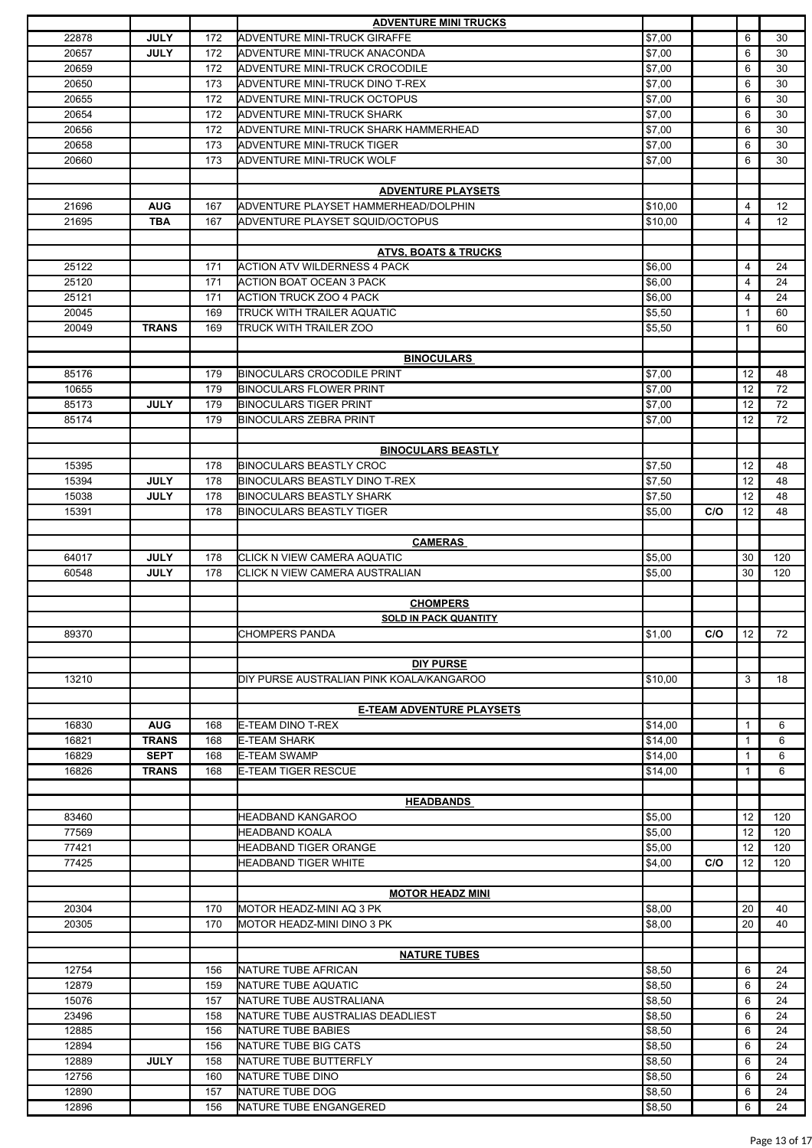|       |              |     | <b>ADVENTURE MINI TRUCKS</b>             |         |     |                |     |
|-------|--------------|-----|------------------------------------------|---------|-----|----------------|-----|
| 22878 | <b>JULY</b>  | 172 | ADVENTURE MINI-TRUCK GIRAFFE             | \$7,00  |     | 6              | 30  |
| 20657 | <b>JULY</b>  | 172 | ADVENTURE MINI-TRUCK ANACONDA            | \$7,00  |     | 6              | 30  |
| 20659 |              | 172 | ADVENTURE MINI-TRUCK CROCODILE           | \$7,00  |     | 6              | 30  |
| 20650 |              | 173 | ADVENTURE MINI-TRUCK DINO T-REX          | \$7,00  |     | 6              | 30  |
| 20655 |              | 172 | ADVENTURE MINI-TRUCK OCTOPUS             | \$7,00  |     | 6              | 30  |
|       |              |     |                                          |         |     | 6              | 30  |
| 20654 |              | 172 | ADVENTURE MINI-TRUCK SHARK               | \$7,00  |     |                |     |
| 20656 |              | 172 | ADVENTURE MINI-TRUCK SHARK HAMMERHEAD    | \$7,00  |     | 6              | 30  |
| 20658 |              | 173 | ADVENTURE MINI-TRUCK TIGER               | \$7,00  |     | 6              | 30  |
| 20660 |              | 173 | ADVENTURE MINI-TRUCK WOLF                | \$7,00  |     | 6              | 30  |
|       |              |     |                                          |         |     |                |     |
|       |              |     | <b>ADVENTURE PLAYSETS</b>                |         |     |                |     |
| 21696 | <b>AUG</b>   | 167 | ADVENTURE PLAYSET HAMMERHEAD/DOLPHIN     | \$10.00 |     | 4              | 12  |
| 21695 | <b>TBA</b>   | 167 | ADVENTURE PLAYSET SQUID/OCTOPUS          | \$10,00 |     | $\overline{4}$ | 12  |
|       |              |     |                                          |         |     |                |     |
|       |              |     | <b>ATVS, BOATS &amp; TRUCKS</b>          |         |     |                |     |
| 25122 |              | 171 | <b>ACTION ATV WILDERNESS 4 PACK</b>      | \$6,00  |     | 4              | 24  |
| 25120 |              | 171 | <b>ACTION BOAT OCEAN 3 PACK</b>          | \$6,00  |     | 4              | 24  |
|       |              |     |                                          |         |     |                |     |
| 25121 |              | 171 | <b>ACTION TRUCK ZOO 4 PACK</b>           | \$6,00  |     | 4              | 24  |
| 20045 |              | 169 | TRUCK WITH TRAILER AQUATIC               | \$5,50  |     | $\mathbf{1}$   | 60  |
| 20049 | <b>TRANS</b> | 169 | TRUCK WITH TRAILER ZOO                   | \$5,50  |     | $\mathbf{1}$   | 60  |
|       |              |     |                                          |         |     |                |     |
|       |              |     | <b>BINOCULARS</b>                        |         |     |                |     |
| 85176 |              | 179 | <b>BINOCULARS CROCODILE PRINT</b>        | \$7,00  |     | 12             | 48  |
| 10655 |              | 179 | <b>BINOCULARS FLOWER PRINT</b>           | \$7,00  |     | 12             | 72  |
| 85173 | <b>JULY</b>  | 179 | <b>BINOCULARS TIGER PRINT</b>            | \$7,00  |     | 12             | 72  |
| 85174 |              | 179 | <b>BINOCULARS ZEBRA PRINT</b>            | \$7,00  |     | 12             | 72  |
|       |              |     |                                          |         |     |                |     |
|       |              |     |                                          |         |     |                |     |
|       |              |     | <b>BINOCULARS BEASTLY</b>                |         |     |                |     |
| 15395 |              | 178 | <b>BINOCULARS BEASTLY CROC</b>           | \$7,50  |     | 12             | 48  |
| 15394 | <b>JULY</b>  | 178 | <b>BINOCULARS BEASTLY DINO T-REX</b>     | \$7,50  |     | 12             | 48  |
| 15038 | <b>JULY</b>  | 178 | <b>BINOCULARS BEASTLY SHARK</b>          | \$7,50  |     | 12             | 48  |
| 15391 |              | 178 | <b>BINOCULARS BEASTLY TIGER</b>          | \$5,00  | C/O | 12             | 48  |
|       |              |     |                                          |         |     |                |     |
|       |              |     | <b>CAMERAS</b>                           |         |     |                |     |
| 64017 | <b>JULY</b>  | 178 | CLICK N VIEW CAMERA AQUATIC              | \$5,00  |     | 30             | 120 |
| 60548 | <b>JULY</b>  | 178 | CLICK N VIEW CAMERA AUSTRALIAN           | \$5,00  |     | 30             | 120 |
|       |              |     |                                          |         |     |                |     |
|       |              |     |                                          |         |     |                |     |
|       |              |     | <b>CHOMPERS</b>                          |         |     |                |     |
|       |              |     | <b>SOLD IN PACK QUANTITY</b>             |         |     |                |     |
| 89370 |              |     | <b>CHOMPERS PANDA</b>                    | \$1,00  | C/O | 12             | 72  |
|       |              |     |                                          |         |     |                |     |
|       |              |     | <b>DIY PURSE</b>                         |         |     |                |     |
| 13210 |              |     | DIY PURSE AUSTRALIAN PINK KOALA/KANGAROO | \$10,00 |     | 3              | 18  |
|       |              |     |                                          |         |     |                |     |
|       |              |     | <b>E-TEAM ADVENTURE PLAYSETS</b>         |         |     |                |     |
| 16830 | <b>AUG</b>   | 168 | <b>E-TEAM DINO T-REX</b>                 | \$14,00 |     | $\mathbf{1}$   | 6   |
| 16821 | <b>TRANS</b> | 168 | <b>E-TEAM SHARK</b>                      | \$14,00 |     | 1              | 6   |
|       |              |     |                                          |         |     |                |     |
| 16829 | <b>SEPT</b>  | 168 | <b>E-TEAM SWAMP</b>                      | \$14,00 |     | 1              | 6   |
| 16826 | <b>TRANS</b> | 168 | <b>E-TEAM TIGER RESCUE</b>               | \$14,00 |     | $\mathbf{1}$   | 6   |
|       |              |     |                                          |         |     |                |     |
|       |              |     | <b>HEADBANDS</b>                         |         |     |                |     |
| 83460 |              |     | <b>HEADBAND KANGAROO</b>                 | \$5,00  |     | 12             | 120 |
| 77569 |              |     | <b>HEADBAND KOALA</b>                    | \$5,00  |     | 12             | 120 |
| 77421 |              |     | HEADBAND TIGER ORANGE                    | \$5,00  |     | 12             | 120 |
| 77425 |              |     | <b>HEADBAND TIGER WHITE</b>              | \$4,00  | C/O | 12             | 120 |
|       |              |     |                                          |         |     |                |     |
|       |              |     | <b>MOTOR HEADZ MINI</b>                  |         |     |                |     |
| 20304 |              | 170 | MOTOR HEADZ-MINI AQ 3 PK                 | \$8,00  |     | 20             | 40  |
| 20305 |              | 170 |                                          |         |     | 20             | 40  |
|       |              |     | MOTOR HEADZ-MINI DINO 3 PK               | \$8,00  |     |                |     |
|       |              |     |                                          |         |     |                |     |
|       |              |     | <b>NATURE TUBES</b>                      |         |     |                |     |
| 12754 |              | 156 | NATURE TUBE AFRICAN                      | \$8,50  |     | 6              | 24  |
| 12879 |              | 159 | NATURE TUBE AQUATIC                      | \$8,50  |     | 6              | 24  |
| 15076 |              | 157 | NATURE TUBE AUSTRALIANA                  | \$8,50  |     | 6              | 24  |
| 23496 |              | 158 | NATURE TUBE AUSTRALIAS DEADLIEST         | \$8,50  |     | 6              | 24  |
| 12885 |              | 156 | NATURE TUBE BABIES                       | \$8,50  |     | 6              | 24  |
| 12894 |              | 156 | NATURE TUBE BIG CATS                     | \$8,50  |     | 6              | 24  |
|       |              |     |                                          |         |     |                |     |
| 12889 | <b>JULY</b>  | 158 | NATURE TUBE BUTTERFLY                    | \$8,50  |     | 6              | 24  |
| 12756 |              | 160 | NATURE TUBE DINO                         | \$8,50  |     | 6              | 24  |
| 12890 |              | 157 | NATURE TUBE DOG                          | \$8,50  |     | 6              | 24  |
| 12896 |              | 156 | NATURE TUBE ENGANGERED                   | \$8,50  |     | 6              | 24  |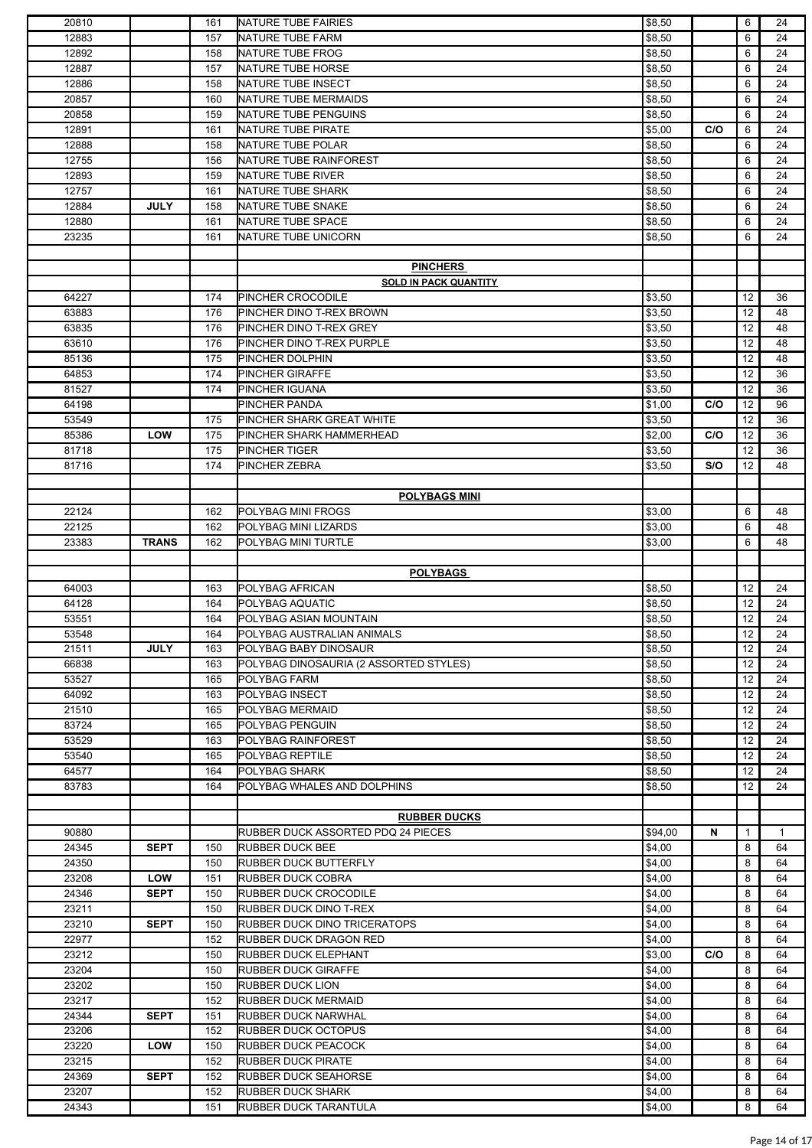| 20810 |              | 161 | NATURE TUBE FAIRIES                    | \$8,50  |     | 6                 | 24 |
|-------|--------------|-----|----------------------------------------|---------|-----|-------------------|----|
| 12883 |              | 157 | NATURE TUBE FARM                       | \$8,50  |     | 6                 | 24 |
|       |              |     | NATURE TUBE FROG                       |         |     | 6                 |    |
| 12892 |              | 158 |                                        | \$8,50  |     |                   | 24 |
| 12887 |              | 157 | NATURE TUBE HORSE                      | \$8,50  |     | 6                 | 24 |
| 12886 |              | 158 | NATURE TUBE INSECT                     | \$8,50  |     | 6                 | 24 |
| 20857 |              | 160 | <b>NATURE TUBE MERMAIDS</b>            | \$8,50  |     | 6                 | 24 |
| 20858 |              | 159 | NATURE TUBE PENGUINS                   | \$8,50  |     | 6                 | 24 |
|       |              |     |                                        |         |     |                   |    |
| 12891 |              | 161 | NATURE TUBE PIRATE                     | \$5,00  | C/O | 6                 | 24 |
| 12888 |              | 158 | NATURE TUBE POLAR                      | \$8,50  |     | 6                 | 24 |
| 12755 |              | 156 | NATURE TUBE RAINFOREST                 | \$8,50  |     | 6                 | 24 |
| 12893 |              | 159 | NATURE TUBE RIVER                      | \$8,50  |     | 6                 | 24 |
| 12757 |              | 161 | <b>NATURE TUBE SHARK</b>               | \$8,50  |     | 6                 | 24 |
|       |              |     |                                        |         |     |                   |    |
| 12884 | <b>JULY</b>  | 158 | NATURE TUBE SNAKE                      | \$8,50  |     | 6                 | 24 |
| 12880 |              | 161 | NATURE TUBE SPACE                      | \$8,50  |     | 6                 | 24 |
| 23235 |              | 161 | NATURE TUBE UNICORN                    | \$8,50  |     | 6                 | 24 |
|       |              |     |                                        |         |     |                   |    |
|       |              |     |                                        |         |     |                   |    |
|       |              |     | <b>PINCHERS</b>                        |         |     |                   |    |
|       |              |     | <b>SOLD IN PACK QUANTITY</b>           |         |     |                   |    |
| 64227 |              | 174 | PINCHER CROCODILE                      | \$3,50  |     | 12                | 36 |
| 63883 |              | 176 | PINCHER DINO T-REX BROWN               | \$3,50  |     | 12                | 48 |
| 63835 |              | 176 | PINCHER DINO T-REX GREY                | \$3,50  |     | 12                | 48 |
|       |              |     |                                        |         |     |                   |    |
| 63610 |              | 176 | PINCHER DINO T-REX PURPLE              | \$3,50  |     | 12                | 48 |
| 85136 |              | 175 | <b>PINCHER DOLPHIN</b>                 | \$3,50  |     | 12                | 48 |
| 64853 |              | 174 | <b>PINCHER GIRAFFE</b>                 | \$3,50  |     | 12                | 36 |
| 81527 |              | 174 | PINCHER IGUANA                         | \$3,50  |     | 12                | 36 |
|       |              |     |                                        |         |     |                   |    |
| 64198 |              |     | PINCHER PANDA                          | \$1,00  | C/O | 12                | 96 |
| 53549 |              | 175 | PINCHER SHARK GREAT WHITE              | \$3,50  |     | 12                | 36 |
| 85386 | <b>LOW</b>   | 175 | PINCHER SHARK HAMMERHEAD               | \$2,00  | C/O | 12                | 36 |
| 81718 |              | 175 | PINCHER TIGER                          | \$3,50  |     | 12                | 36 |
| 81716 |              | 174 | PINCHER ZEBRA                          | \$3,50  | S/O | 12                | 48 |
|       |              |     |                                        |         |     |                   |    |
|       |              |     |                                        |         |     |                   |    |
|       |              |     | <b>POLYBAGS MINI</b>                   |         |     |                   |    |
| 22124 |              | 162 | POLYBAG MINI FROGS                     | \$3,00  |     | 6                 | 48 |
| 22125 |              | 162 | POLYBAG MINI LIZARDS                   | \$3,00  |     | 6                 | 48 |
|       |              |     |                                        |         |     |                   |    |
| 23383 | <b>TRANS</b> | 162 | POLYBAG MINI TURTLE                    | \$3,00  |     | 6                 | 48 |
|       |              |     |                                        |         |     |                   |    |
|       |              |     |                                        |         |     |                   |    |
|       |              |     | <b>POLYBAGS</b>                        |         |     |                   |    |
|       |              |     |                                        |         |     |                   |    |
| 64003 |              | 163 | POLYBAG AFRICAN                        | \$8,50  |     | 12                | 24 |
| 64128 |              | 164 | POLYBAG AQUATIC                        | \$8,50  |     | 12                | 24 |
| 53551 |              | 164 | POLYBAG ASIAN MOUNTAIN                 | \$8,50  |     | 12                | 24 |
| 53548 |              | 164 | POLYBAG AUSTRALIAN ANIMALS             | \$8,50  |     | 12                | 24 |
| 21511 | <b>JULY</b>  | 163 | POLYBAG BABY DINOSAUR                  | \$8,50  |     | $12 \overline{ }$ | 24 |
|       |              |     |                                        |         |     |                   |    |
| 66838 |              | 163 | POLYBAG DINOSAURIA (2 ASSORTED STYLES) | \$8,50  |     | 12                | 24 |
| 53527 |              | 165 | POLYBAG FARM                           | \$8,50  |     | $12 \overline{ }$ | 24 |
| 64092 |              | 163 | POLYBAG INSECT                         | \$8,50  |     | 12                | 24 |
| 21510 |              | 165 | POLYBAG MERMAID                        | \$8,50  |     | $12 \overline{ }$ | 24 |
| 83724 |              | 165 | POLYBAG PENGUIN                        | \$8,50  |     | 12                | 24 |
|       |              | 163 |                                        |         |     |                   | 24 |
| 53529 |              |     | POLYBAG RAINFOREST                     | \$8,50  |     | 12                |    |
| 53540 |              | 165 | POLYBAG REPTILE                        | \$8,50  |     | 12                | 24 |
| 64577 |              | 164 | POLYBAG SHARK                          | \$8,50  |     | 12                | 24 |
| 83783 |              | 164 | POLYBAG WHALES AND DOLPHINS            | \$8,50  |     | 12                | 24 |
|       |              |     |                                        |         |     |                   |    |
|       |              |     | <b>RUBBER DUCKS</b>                    |         |     |                   |    |
|       |              |     |                                        |         |     |                   |    |
| 90880 |              |     | RUBBER DUCK ASSORTED PDQ 24 PIECES     | \$94,00 | N   | 1                 | 1  |
| 24345 | <b>SEPT</b>  | 150 | <b>RUBBER DUCK BEE</b>                 | \$4,00  |     | 8                 | 64 |
| 24350 |              | 150 | RUBBER DUCK BUTTERFLY                  | \$4,00  |     | 8                 | 64 |
| 23208 | <b>LOW</b>   | 151 | <b>RUBBER DUCK COBRA</b>               | \$4,00  |     | 8                 | 64 |
| 24346 | <b>SEPT</b>  | 150 | RUBBER DUCK CROCODILE                  | \$4,00  |     | 8                 | 64 |
|       |              |     |                                        |         |     |                   |    |
| 23211 |              | 150 | RUBBER DUCK DINO T-REX                 | \$4,00  |     | 8                 | 64 |
| 23210 | <b>SEPT</b>  | 150 | RUBBER DUCK DINO TRICERATOPS           | \$4,00  |     | 8                 | 64 |
| 22977 |              | 152 | RUBBER DUCK DRAGON RED                 | \$4,00  |     | 8                 | 64 |
| 23212 |              | 150 | RUBBER DUCK ELEPHANT                   | \$3,00  | C/O | 8                 | 64 |
| 23204 |              | 150 | <b>RUBBER DUCK GIRAFFE</b>             |         |     | 8                 | 64 |
|       |              |     |                                        | \$4,00  |     |                   |    |
| 23202 |              | 150 | RUBBER DUCK LION                       | \$4,00  |     | 8                 | 64 |
| 23217 |              | 152 | <b>RUBBER DUCK MERMAID</b>             | \$4,00  |     | 8                 | 64 |
| 24344 | <b>SEPT</b>  | 151 | RUBBER DUCK NARWHAL                    | \$4,00  |     | 8                 | 64 |
| 23206 |              | 152 | RUBBER DUCK OCTOPUS                    | \$4,00  |     | 8                 | 64 |
|       | <b>LOW</b>   | 150 |                                        |         |     | 8                 | 64 |
| 23220 |              |     | RUBBER DUCK PEACOCK                    | \$4,00  |     |                   |    |
| 23215 |              | 152 | <b>RUBBER DUCK PIRATE</b>              | \$4,00  |     | 8                 | 64 |
| 24369 | <b>SEPT</b>  | 152 | <b>RUBBER DUCK SEAHORSE</b>            | \$4,00  |     | 8                 | 64 |
| 23207 |              | 152 | <b>RUBBER DUCK SHARK</b>               | \$4,00  |     | 8                 | 64 |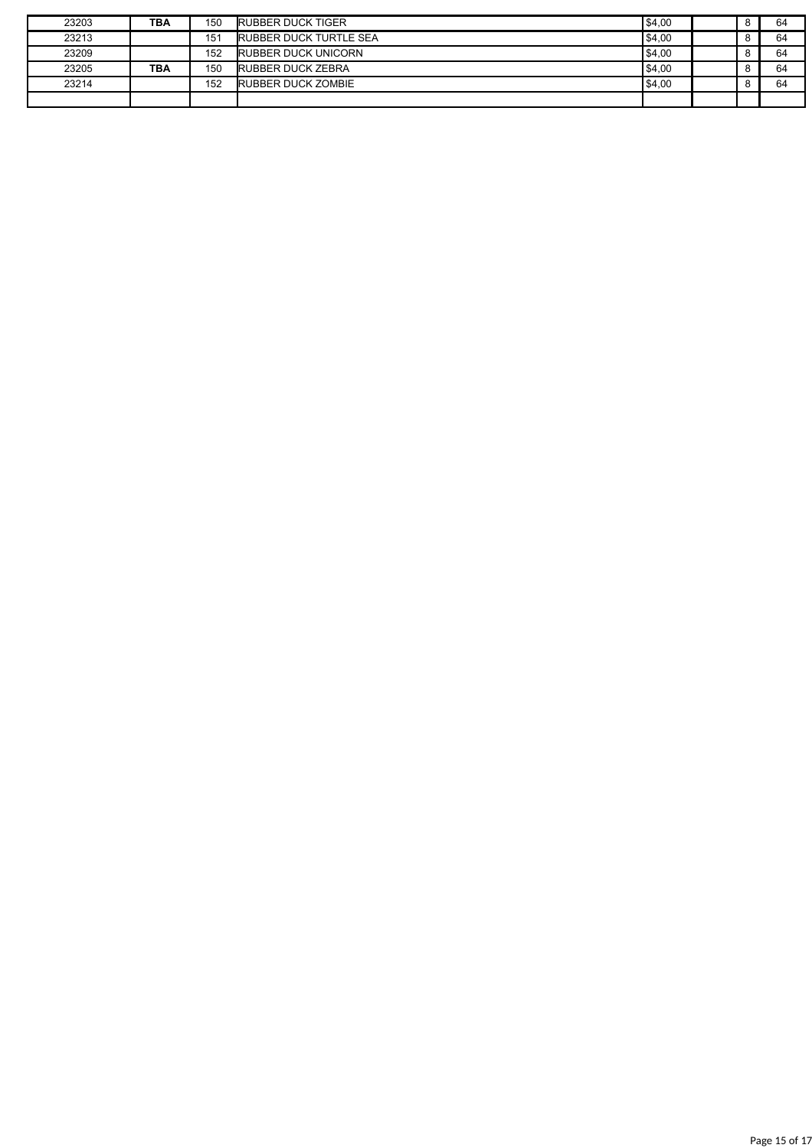| 23203 | <b>TBA</b> | 150 | <b>RUBBER DUCK TIGER</b>      | \$4,00 |   | 64 |
|-------|------------|-----|-------------------------------|--------|---|----|
| 23213 |            | 151 | <b>RUBBER DUCK TURTLE SEA</b> | \$4,00 | ິ | 64 |
| 23209 |            | 152 | <b>RUBBER DUCK UNICORN</b>    | \$4,00 | o | 64 |
| 23205 | <b>TBA</b> | 150 | <b>RUBBER DUCK ZEBRA</b>      | \$4,00 |   | 64 |
| 23214 |            | 152 | <b>RUBBER DUCK ZOMBIE</b>     | \$4,00 |   | 64 |
|       |            |     |                               |        |   |    |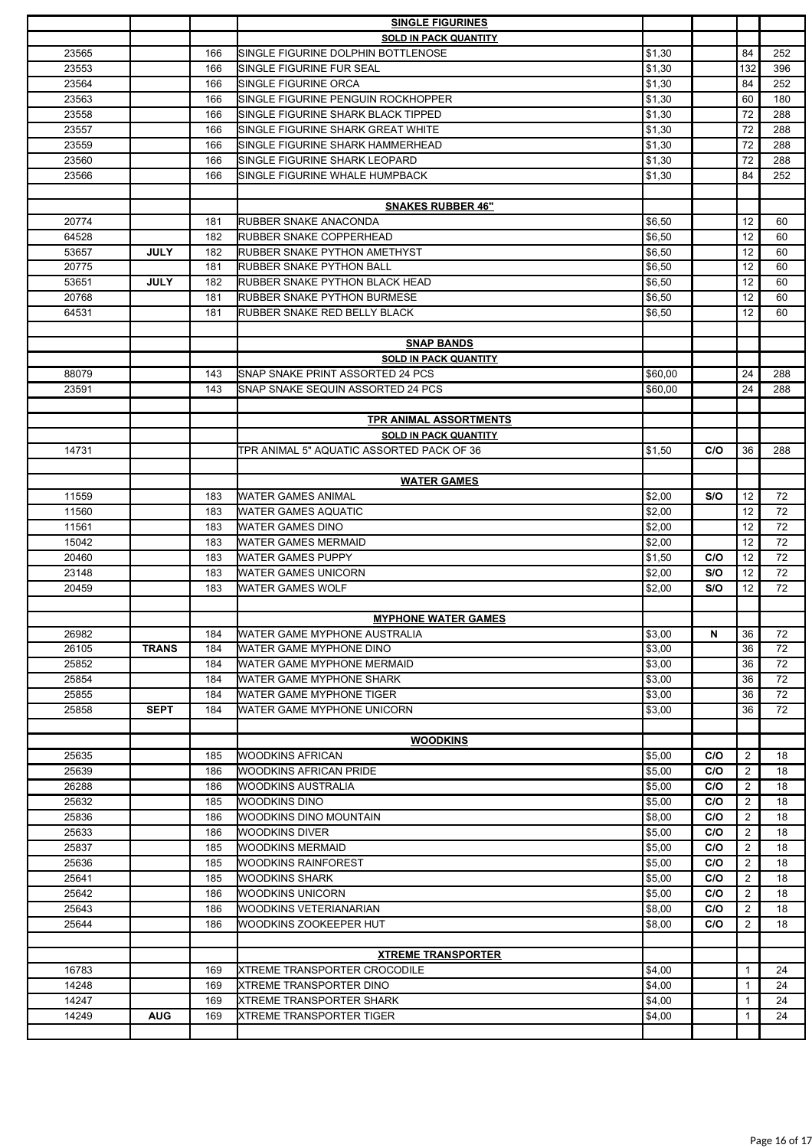|       |              |     | <b>SINGLE FIGURINES</b>                   |         |     |                |     |
|-------|--------------|-----|-------------------------------------------|---------|-----|----------------|-----|
|       |              |     | <b>SOLD IN PACK QUANTITY</b>              |         |     |                |     |
| 23565 |              | 166 | SINGLE FIGURINE DOLPHIN BOTTLENOSE        | \$1,30  |     | 84             | 252 |
| 23553 |              | 166 | SINGLE FIGURINE FUR SEAL                  | \$1,30  |     | 132            | 396 |
| 23564 |              | 166 | SINGLE FIGURINE ORCA                      | \$1,30  |     | 84             | 252 |
| 23563 |              | 166 | SINGLE FIGURINE PENGUIN ROCKHOPPER        | \$1,30  |     | 60             | 180 |
| 23558 |              | 166 | SINGLE FIGURINE SHARK BLACK TIPPED        | \$1,30  |     | 72             | 288 |
| 23557 |              | 166 | SINGLE FIGURINE SHARK GREAT WHITE         | \$1,30  |     | 72             | 288 |
| 23559 |              | 166 | SINGLE FIGURINE SHARK HAMMERHEAD          | \$1,30  |     | 72             | 288 |
| 23560 |              | 166 | SINGLE FIGURINE SHARK LEOPARD             | \$1,30  |     | 72             | 288 |
| 23566 |              | 166 | SINGLE FIGURINE WHALE HUMPBACK            | \$1,30  |     | 84             | 252 |
|       |              |     |                                           |         |     |                |     |
|       |              |     | <b>SNAKES RUBBER 46"</b>                  |         |     |                |     |
| 20774 |              | 181 | <b>RUBBER SNAKE ANACONDA</b>              | \$6,50  |     | 12             | 60  |
| 64528 |              | 182 | <b>RUBBER SNAKE COPPERHEAD</b>            | \$6,50  |     | 12             | 60  |
| 53657 | <b>JULY</b>  | 182 | <b>RUBBER SNAKE PYTHON AMETHYST</b>       | \$6,50  |     | 12             | 60  |
| 20775 |              | 181 | <b>RUBBER SNAKE PYTHON BALL</b>           | \$6,50  |     | 12             | 60  |
| 53651 | <b>JULY</b>  | 182 | <b>RUBBER SNAKE PYTHON BLACK HEAD</b>     | \$6,50  |     | 12             | 60  |
| 20768 |              | 181 | <b>RUBBER SNAKE PYTHON BURMESE</b>        | \$6,50  |     | 12             | 60  |
| 64531 |              | 181 | RUBBER SNAKE RED BELLY BLACK              | \$6,50  |     | 12             | 60  |
|       |              |     |                                           |         |     |                |     |
|       |              |     | <b>SNAP BANDS</b>                         |         |     |                |     |
|       |              |     | <b>SOLD IN PACK QUANTITY</b>              |         |     |                |     |
| 88079 |              | 143 | SNAP SNAKE PRINT ASSORTED 24 PCS          | \$60,00 |     | 24             | 288 |
| 23591 |              | 143 | SNAP SNAKE SEQUIN ASSORTED 24 PCS         | \$60.00 |     | 24             | 288 |
|       |              |     |                                           |         |     |                |     |
|       |              |     | TPR ANIMAL ASSORTMENTS                    |         |     |                |     |
|       |              |     | <b>SOLD IN PACK QUANTITY</b>              |         |     |                |     |
| 14731 |              |     | TPR ANIMAL 5" AQUATIC ASSORTED PACK OF 36 | \$1,50  | C/O | 36             | 288 |
|       |              |     |                                           |         |     |                |     |
|       |              |     | <b>WATER GAMES</b>                        |         |     |                |     |
| 11559 |              | 183 | <b>WATER GAMES ANIMAL</b>                 | \$2,00  | S/O | 12             | 72  |
| 11560 |              | 183 | <b>WATER GAMES AQUATIC</b>                | \$2,00  |     | 12             | 72  |
| 11561 |              | 183 | <b>WATER GAMES DINO</b>                   | \$2,00  |     | 12             | 72  |
| 15042 |              | 183 | <b>WATER GAMES MERMAID</b>                | \$2,00  |     | 12             | 72  |
| 20460 |              | 183 | <b>WATER GAMES PUPPY</b>                  | \$1,50  | C/O | 12             | 72  |
| 23148 |              | 183 | <b>WATER GAMES UNICORN</b>                | \$2,00  | S/O | 12             | 72  |
| 20459 |              | 183 | <b>WATER GAMES WOLF</b>                   | \$2,00  | S/O | 12             | 72  |
|       |              |     |                                           |         |     |                |     |
|       |              |     | <b>MYPHONE WATER GAMES</b>                |         |     |                |     |
| 26982 |              | 184 | WATER GAME MYPHONE AUSTRALIA              | \$3,00  | N.  | 36             | 72  |
| 26105 | <b>TRANS</b> | 184 | WATER GAME MYPHONE DINO                   | \$3,00  |     | 36             | 72  |
| 25852 |              | 184 | WATER GAME MYPHONE MERMAID                | \$3,00  |     | 36             | 72  |
| 25854 |              | 184 | WATER GAME MYPHONE SHARK                  | \$3,00  |     | 36             | 72  |
| 25855 |              | 184 | WATER GAME MYPHONE TIGER                  | \$3,00  |     | 36             | 72  |
| 25858 | <b>SEPT</b>  | 184 | WATER GAME MYPHONE UNICORN                | \$3,00  |     | 36             | 72  |
|       |              |     |                                           |         |     |                |     |
|       |              |     | <b>WOODKINS</b>                           |         |     |                |     |
| 25635 |              | 185 | <b>WOODKINS AFRICAN</b>                   | \$5,00  | C/O | $\overline{2}$ | 18  |
| 25639 |              | 186 | WOODKINS AFRICAN PRIDE                    | \$5,00  | C/O | 2              | 18  |
| 26288 |              | 186 | <b>WOODKINS AUSTRALIA</b>                 | \$5,00  | C/O | 2              | 18  |
| 25632 |              | 185 | <b>WOODKINS DINO</b>                      | \$5,00  | C/O | $\overline{2}$ | 18  |
| 25836 |              | 186 | WOODKINS DINO MOUNTAIN                    | \$8,00  | C/O | $\overline{2}$ | 18  |
| 25633 |              | 186 | <b>WOODKINS DIVER</b>                     | \$5,00  | C/O | 2              | 18  |
| 25837 |              | 185 | WOODKINS MERMAID                          | \$5,00  | C/O | 2              | 18  |
| 25636 |              | 185 | <b>WOODKINS RAINFOREST</b>                | \$5,00  | C/O | 2              | 18  |
| 25641 |              | 185 | <b>WOODKINS SHARK</b>                     | \$5,00  | C/O | $\overline{2}$ | 18  |
| 25642 |              | 186 | WOODKINS UNICORN                          | \$5,00  | C/O | 2              | 18  |
| 25643 |              | 186 | WOODKINS VETERIANARIAN                    | \$8,00  | C/O | 2              | 18  |
| 25644 |              | 186 | WOODKINS ZOOKEEPER HUT                    | \$8,00  | C/O | 2              | 18  |
|       |              |     |                                           |         |     |                |     |
|       |              |     | <b>XTREME TRANSPORTER</b>                 |         |     |                |     |
| 16783 |              | 169 | <b>XTREME TRANSPORTER CROCODILE</b>       | \$4,00  |     | $\mathbf{1}$   | 24  |
| 14248 |              | 169 | XTREME TRANSPORTER DINO                   | \$4,00  |     | $\mathbf{1}$   | 24  |
| 14247 |              | 169 | <b>XTREME TRANSPORTER SHARK</b>           | \$4,00  |     | $\mathbf{1}$   | 24  |
| 14249 | <b>AUG</b>   | 169 | <b>XTREME TRANSPORTER TIGER</b>           | \$4,00  |     | 1              | 24  |
|       |              |     |                                           |         |     |                |     |